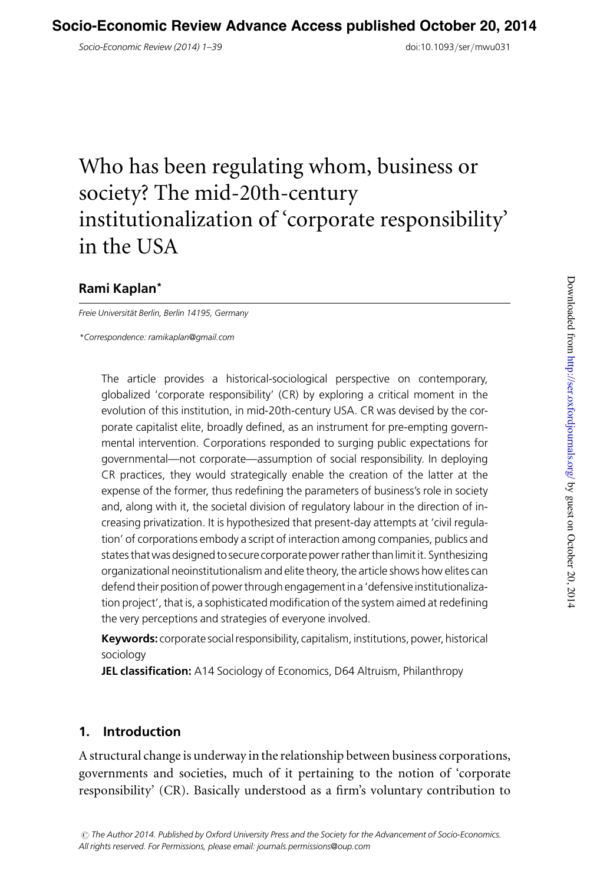Socio-Economic Review (2014) 1–39 doi:10.1093/ser/mwu031

# Who has been regulating whom, business or society? The mid-20th-century institutionalization of 'corporate responsibility' in the USA

# Rami Kaplan\*

Freie Universität Berlin, Berlin 14195, Germany

\*Correspondence: ramikaplan@gmail.com

The article provides a historical-sociological perspective on contemporary, globalized 'corporate responsibility' (CR) by exploring a critical moment in the evolution of this institution, in mid-20th-century USA. CR was devised by the corporate capitalist elite, broadly defined, as an instrument for pre-empting governmental intervention. Corporations responded to surging public expectations for governmental—not corporate—assumption of social responsibility. In deploying CR practices, they would strategically enable the creation of the latter at the expense of the former, thus redefining the parameters of business's role in society and, along with it, the societal division of regulatory labour in the direction of increasing privatization. It is hypothesized that present-day attempts at 'civil regulation' of corporations embody a script of interaction among companies, publics and states that was designed to secure corporate power rather than limit it. Synthesizing organizational neoinstitutionalism and elite theory, the article shows how elites can defend their position of power through engagement in a 'defensive institutionalization project', that is, a sophisticated modification of the system aimed at redefining the very perceptions and strategies of everyone involved.

Keywords: corporate social responsibility, capitalism, institutions, power, historical sociology

JEL classification: A14 Sociology of Economics, D64 Altruism, Philanthropy

# 1. Introduction

A structural change is underway in the relationship between business corporations, governments and societies, much of it pertaining to the notion of 'corporate responsibility' (CR). Basically understood as a firm's voluntary contribution to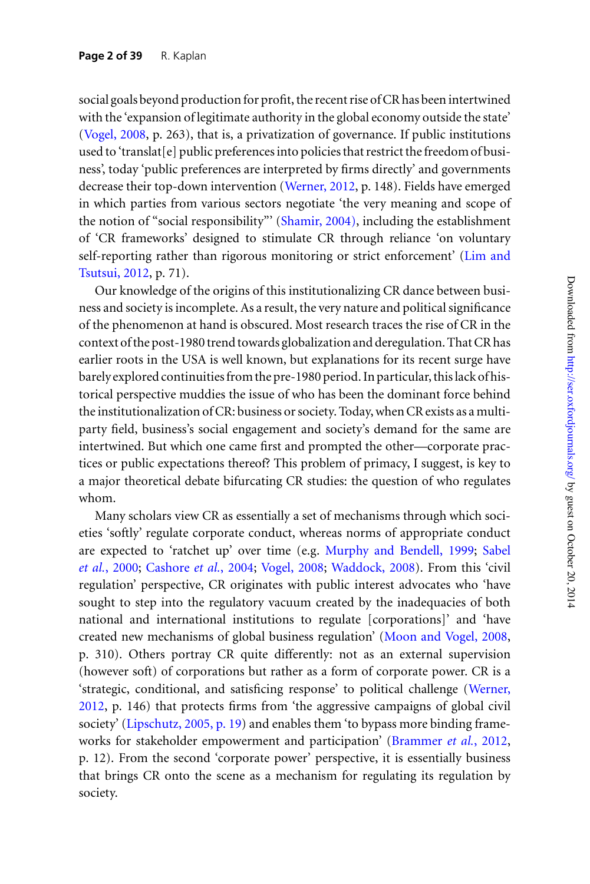social goals beyond production for profit, the recent rise of CR has been intertwined with the 'expansion of legitimate authority in the global economy outside the state' ([Vogel, 2008](#page-38-0), p. 263), that is, a privatization of governance. If public institutions used to 'translat[e] public preferences into policies that restrict the freedom of business', today 'public preferences are interpreted by firms directly' and governments decrease their top-down intervention [\(Werner, 2012](#page-38-0), p. 148). Fields have emerged in which parties from various sectors negotiate 'the very meaning and scope of the notion of "social responsibility"' ([Shamir, 2004\)](#page-37-0), including the establishment of 'CR frameworks' designed to stimulate CR through reliance 'on voluntary self-reporting rather than rigorous monitoring or strict enforcement' [\(Lim and](#page-36-0) [Tsutsui, 2012,](#page-36-0) p. 71).

Our knowledge of the origins of this institutionalizing CR dance between business and society is incomplete. As a result, the very nature and political significance of the phenomenon at hand is obscured. Most research traces the rise of CR in the context of the post-1980 trend towards globalization and deregulation. That CR has earlier roots in the USA is well known, but explanations for its recent surge have barely explored continuities from the pre-1980 period. In particular, this lack of historical perspective muddies the issue of who has been the dominant force behind the institutionalization of CR: business or society. Today, when CR exists as a multiparty field, business's social engagement and society's demand for the same are intertwined. But which one came first and prompted the other—corporate practices or public expectations thereof? This problem of primacy, I suggest, is key to a major theoretical debate bifurcating CR studies: the question of who regulates whom.

Many scholars view CR as essentially a set of mechanisms through which societies 'softly' regulate corporate conduct, whereas norms of appropriate conduct are expected to 'ratchet up' over time (e.g. [Murphy and Bendell, 1999;](#page-37-0) [Sabel](#page-37-0) et al.[, 2000;](#page-37-0) [Cashore](#page-33-0) et al., 2004; [Vogel, 2008;](#page-38-0) [Waddock, 2008](#page-38-0)). From this 'civil regulation' perspective, CR originates with public interest advocates who 'have sought to step into the regulatory vacuum created by the inadequacies of both national and international institutions to regulate [corporations]' and 'have created new mechanisms of global business regulation' [\(Moon and Vogel, 2008,](#page-36-0) p. 310). Others portray CR quite differently: not as an external supervision (however soft) of corporations but rather as a form of corporate power. CR is a 'strategic, conditional, and satisficing response' to political challenge [\(Werner,](#page-38-0) [2012](#page-38-0), p. 146) that protects firms from 'the aggressive campaigns of global civil society' ([Lipschutz, 2005, p. 19](#page-36-0)) and enables them 'to bypass more binding frame-works for stakeholder empowerment and participation' ([Brammer](#page-33-0) et al., 2012, p. 12). From the second 'corporate power' perspective, it is essentially business that brings CR onto the scene as a mechanism for regulating its regulation by society.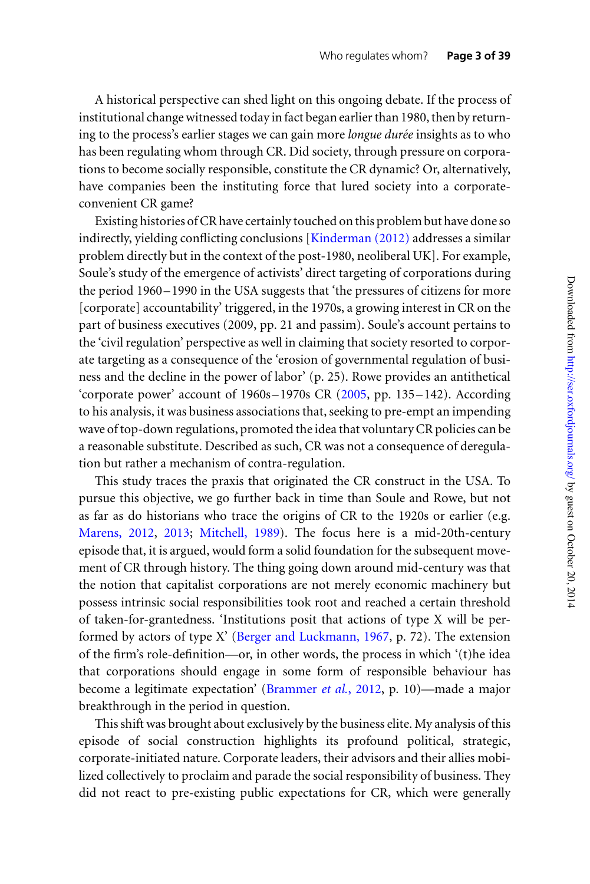A historical perspective can shed light on this ongoing debate. If the process of institutional change witnessed today infact began earlier than 1980, then by returning to the process's earlier stages we can gain more *longue durée* insights as to who has been regulating whom through CR. Did society, through pressure on corporations to become socially responsible, constitute the CR dynamic? Or, alternatively, have companies been the instituting force that lured society into a corporateconvenient CR game?

Existing histories of CR have certainly touched on this problem but have done so indirectly, yielding conflicting conclusions [\[Kinderman \(2012\)](#page-35-0) addresses a similar problem directly but in the context of the post-1980, neoliberal UK]. For example, Soule's study of the emergence of activists' direct targeting of corporations during the period 1960–1990 in the USA suggests that 'the pressures of citizens for more [corporate] accountability' triggered, in the 1970s, a growing interest in CR on the part of business executives (2009, pp. 21 and passim). Soule's account pertains to the 'civil regulation' perspective as well in claiming that society resorted to corporate targeting as a consequence of the 'erosion of governmental regulation of business and the decline in the power of labor' (p. 25). Rowe provides an antithetical 'corporate power' account of  $1960s - 1970s$  CR  $(2005, pp. 135 - 142)$  $(2005, pp. 135 - 142)$  $(2005, pp. 135 - 142)$ . According to his analysis, it was business associations that, seeking to pre-empt an impending wave of top-down regulations, promoted the idea that voluntary CR policies can be a reasonable substitute. Described as such, CR was not a consequence of deregulation but rather a mechanism of contra-regulation.

This study traces the praxis that originated the CR construct in the USA. To pursue this objective, we go further back in time than Soule and Rowe, but not as far as do historians who trace the origins of CR to the 1920s or earlier (e.g. [Marens, 2012,](#page-36-0) [2013](#page-36-0); [Mitchell, 1989\)](#page-36-0). The focus here is a mid-20th-century episode that, it is argued, would form a solid foundation for the subsequent movement of CR through history. The thing going down around mid-century was that the notion that capitalist corporations are not merely economic machinery but possess intrinsic social responsibilities took root and reached a certain threshold of taken-for-grantedness. 'Institutions posit that actions of type X will be performed by actors of type X' ([Berger and Luckmann, 1967,](#page-33-0) p. 72). The extension of the firm's role-definition—or, in other words, the process in which '(t)he idea that corporations should engage in some form of responsible behaviour has become a legitimate expectation' ([Brammer](#page-33-0) et al., 2012, p. 10)—made a major breakthrough in the period in question.

This shift was brought about exclusively by the business elite. My analysis of this episode of social construction highlights its profound political, strategic, corporate-initiated nature. Corporate leaders, their advisors and their allies mobilized collectively to proclaim and parade the social responsibility of business. They did not react to pre-existing public expectations for CR, which were generally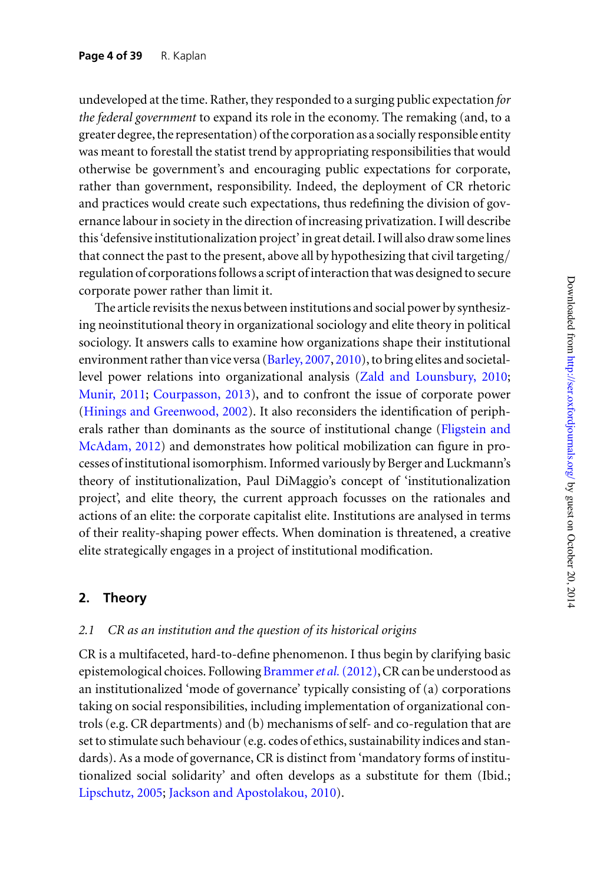undeveloped at the time. Rather, they responded to a surging public expectation for the federal government to expand its role in the economy. The remaking (and, to a greater degree, the representation) of the corporation as a socially responsible entity was meant to forestall the statist trend by appropriating responsibilities that would otherwise be government's and encouraging public expectations for corporate, rather than government, responsibility. Indeed, the deployment of CR rhetoric and practices would create such expectations, thus redefining the division of governance labour in society in the direction of increasing privatization. I will describe this 'defensive institutionalization project' in great detail. Iwill also draw some lines that connect the past to the present, above all by hypothesizing that civil targeting/ regulation of corporations follows a script of interaction that was designed to secure corporate power rather than limit it.

The article revisits the nexus between institutions and social power by synthesizing neoinstitutional theory in organizational sociology and elite theory in political sociology. It answers calls to examine how organizations shape their institutional environment rather than vice versa [\(Barley, 2007,](#page-33-0) [2010\)](#page-33-0), to bring elites and societallevel power relations into organizational analysis [\(Zald and Lounsbury, 2010;](#page-38-0) [Munir, 2011](#page-37-0); [Courpasson, 2013](#page-34-0)), and to confront the issue of corporate power ([Hinings and Greenwood, 2002](#page-35-0)). It also reconsiders the identification of periph-erals rather than dominants as the source of institutional change ([Fligstein and](#page-34-0) [McAdam, 2012\)](#page-34-0) and demonstrates how political mobilization can figure in processes of institutional isomorphism. Informed variously by Berger and Luckmann's theory of institutionalization, Paul DiMaggio's concept of 'institutionalization project', and elite theory, the current approach focusses on the rationales and actions of an elite: the corporate capitalist elite. Institutions are analysed in terms of their reality-shaping power effects. When domination is threatened, a creative elite strategically engages in a project of institutional modification.

# 2. Theory

#### 2.1 CR as an institution and the question of its historical origins

CR is a multifaceted, hard-to-define phenomenon. I thus begin by clarifying basic epistemological choices. Following [Brammer](#page-33-0) et al. (2012), CR can be understood as an institutionalized 'mode of governance' typically consisting of (a) corporations taking on social responsibilities, including implementation of organizational controls (e.g. CR departments) and (b) mechanisms of self- and co-regulation that are set to stimulate such behaviour (e.g. codes of ethics, sustainability indices and standards). As a mode of governance, CR is distinct from 'mandatory forms of institutionalized social solidarity' and often develops as a substitute for them (Ibid.; [Lipschutz, 2005](#page-36-0); [Jackson and Apostolakou, 2010](#page-35-0)).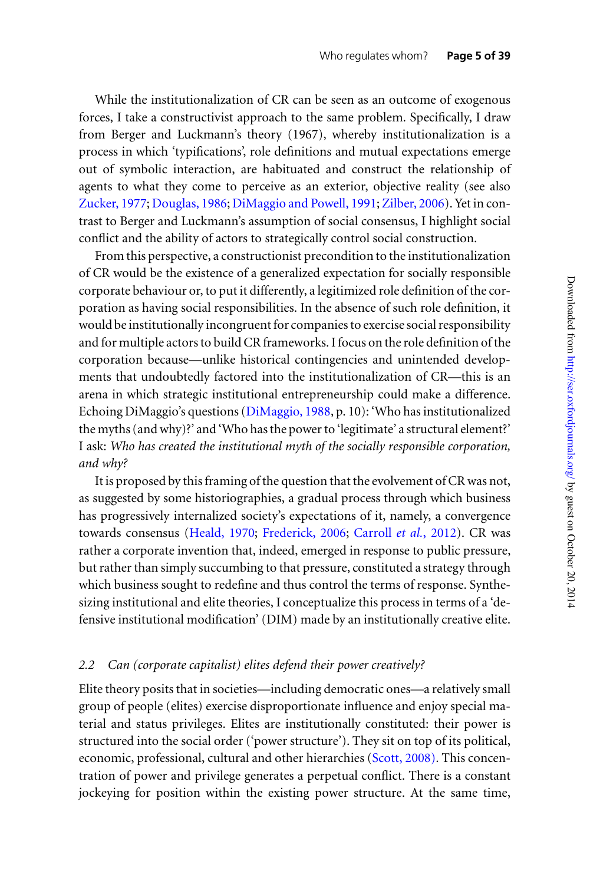While the institutionalization of CR can be seen as an outcome of exogenous forces, I take a constructivist approach to the same problem. Specifically, I draw from Berger and Luckmann's theory (1967), whereby institutionalization is a process in which 'typifications', role definitions and mutual expectations emerge out of symbolic interaction, are habituated and construct the relationship of agents to what they come to perceive as an exterior, objective reality (see also [Zucker, 1977;](#page-38-0) [Douglas, 1986](#page-34-0); [DiMaggio and Powell, 1991;](#page-34-0) [Zilber, 2006](#page-38-0)). Yet in contrast to Berger and Luckmann's assumption of social consensus, I highlight social conflict and the ability of actors to strategically control social construction.

From this perspective, a constructionist precondition to the institutionalization of CR would be the existence of a generalized expectation for socially responsible corporate behaviour or, to put it differently, a legitimized role definition of the corporation as having social responsibilities. In the absence of such role definition, it would be institutionally incongruent for companies to exercise social responsibility and for multiple actors to build CR frameworks. I focus on the role definition of the corporation because—unlike historical contingencies and unintended developments that undoubtedly factored into the institutionalization of CR—this is an arena in which strategic institutional entrepreneurship could make a difference. Echoing DiMaggio's questions ([DiMaggio, 1988,](#page-34-0) p. 10): 'Who has institutionalized the myths (and why)?' and 'Who has the power to 'legitimate' a structural element?' I ask: Who has created the institutional myth of the socially responsible corporation, and why?

It is proposed by this framing of the question that the evolvement of CR was not, as suggested by some historiographies, a gradual process through which business has progressively internalized society's expectations of it, namely, a convergence towards consensus ([Heald, 1970;](#page-35-0) [Frederick, 2006;](#page-34-0) [Carroll](#page-33-0) et al., 2012). CR was rather a corporate invention that, indeed, emerged in response to public pressure, but rather than simply succumbing to that pressure, constituted a strategy through which business sought to redefine and thus control the terms of response. Synthesizing institutional and elite theories, I conceptualize this process in terms of a 'defensive institutional modification' (DIM) made by an institutionally creative elite.

### 2.2 Can (corporate capitalist) elites defend their power creatively?

Elite theory posits that in societies—including democratic ones—a relatively small group of people (elites) exercise disproportionate influence and enjoy special material and status privileges. Elites are institutionally constituted: their power is structured into the social order ('power structure'). They sit on top of its political, economic, professional, cultural and other hierarchies [\(Scott, 2008\).](#page-37-0) This concentration of power and privilege generates a perpetual conflict. There is a constant jockeying for position within the existing power structure. At the same time,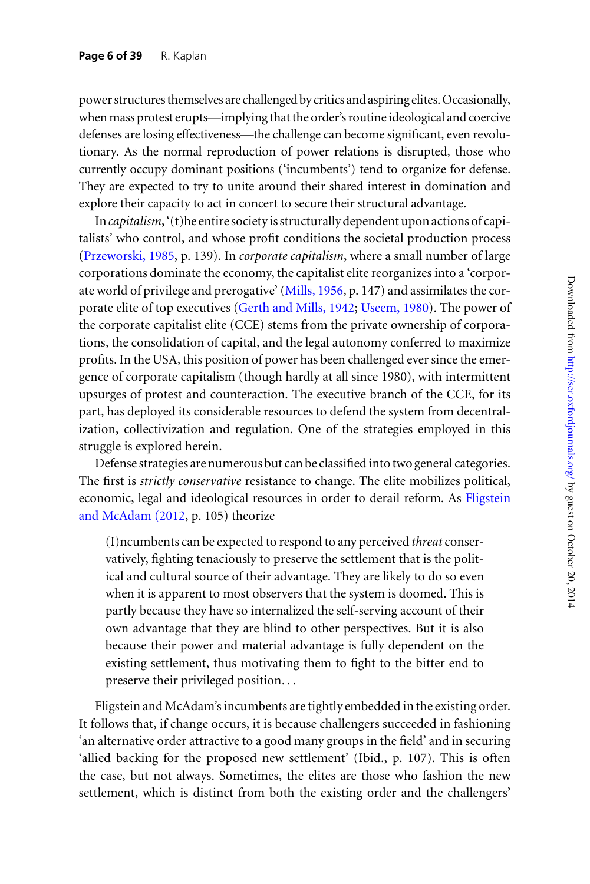power structures themselves are challenged by critics and aspiring elites.Occasionally, when mass protest erupts—implying that the order's routine ideological and coercive defenses are losing effectiveness—the challenge can become significant, even revolutionary. As the normal reproduction of power relations is disrupted, those who currently occupy dominant positions ('incumbents') tend to organize for defense. They are expected to try to unite around their shared interest in domination and explore their capacity to act in concert to secure their structural advantage.

In *capitalism*, '(t) he entire society is structurally dependent upon actions of capitalists' who control, and whose profit conditions the societal production process ([Przeworski, 1985,](#page-37-0) p. 139). In corporate capitalism, where a small number of large corporations dominate the economy, the capitalist elite reorganizes into a 'corporate world of privilege and prerogative' ([Mills, 1956](#page-36-0), p. 147) and assimilates the corporate elite of top executives ([Gerth and Mills, 1942](#page-35-0); [Useem, 1980\)](#page-38-0). The power of the corporate capitalist elite (CCE) stems from the private ownership of corporations, the consolidation of capital, and the legal autonomy conferred to maximize profits. In the USA, this position of power has been challenged ever since the emergence of corporate capitalism (though hardly at all since 1980), with intermittent upsurges of protest and counteraction. The executive branch of the CCE, for its part, has deployed its considerable resources to defend the system from decentralization, collectivization and regulation. One of the strategies employed in this struggle is explored herein.

Defense strategies are numerous but can be classified into two general categories. The first is *strictly conservative* resistance to change. The elite mobilizes political, economic, legal and ideological resources in order to derail reform. As [Fligstein](#page-34-0) [and McAdam \(2012,](#page-34-0) p. 105) theorize

(I)ncumbents can be expected to respond to any perceived threat conservatively, fighting tenaciously to preserve the settlement that is the political and cultural source of their advantage. They are likely to do so even when it is apparent to most observers that the system is doomed. This is partly because they have so internalized the self-serving account of their own advantage that they are blind to other perspectives. But it is also because their power and material advantage is fully dependent on the existing settlement, thus motivating them to fight to the bitter end to preserve their privileged position...

Fligstein and McAdam's incumbents are tightly embedded in the existing order. It follows that, if change occurs, it is because challengers succeeded in fashioning 'an alternative order attractive to a good many groups in the field' and in securing 'allied backing for the proposed new settlement' (Ibid., p. 107). This is often the case, but not always. Sometimes, the elites are those who fashion the new settlement, which is distinct from both the existing order and the challengers'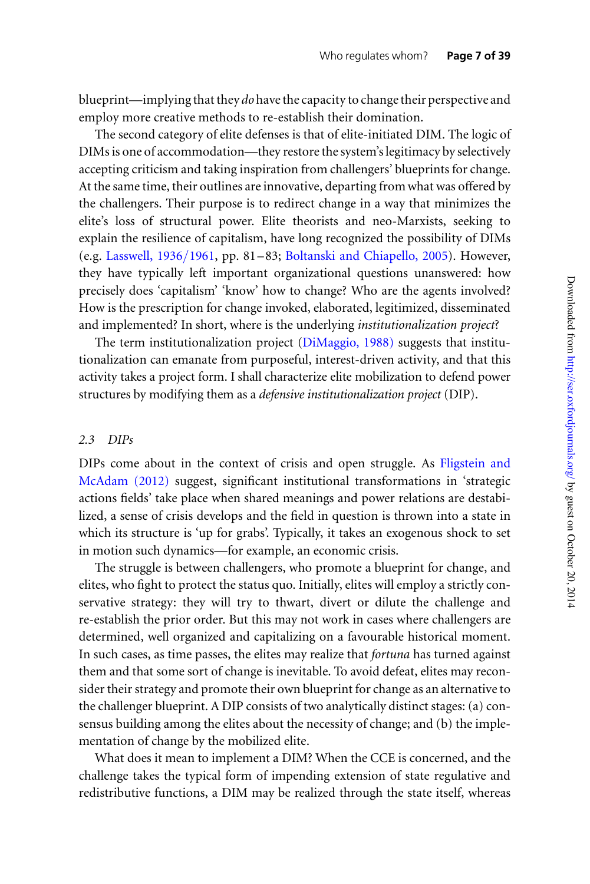blueprint—implying that they do have the capacity to change their perspective and employ more creative methods to re-establish their domination.

The second category of elite defenses is that of elite-initiated DIM. The logic of DIMs is one of accommodation—they restore the system's legitimacy by selectively accepting criticism and taking inspiration from challengers' blueprints for change. At the same time, their outlines are innovative, departing from what was offered by the challengers. Their purpose is to redirect change in a way that minimizes the elite's loss of structural power. Elite theorists and neo-Marxists, seeking to explain the resilience of capitalism, have long recognized the possibility of DIMs (e.g. [Lasswell, 1936](#page-35-0)/1961, pp. 81 –83; [Boltanski and Chiapello, 2005](#page-33-0)). However, they have typically left important organizational questions unanswered: how precisely does 'capitalism' 'know' how to change? Who are the agents involved? How is the prescription for change invoked, elaborated, legitimized, disseminated and implemented? In short, where is the underlying institutionalization project?

The term institutionalization project [\(DiMaggio, 1988\)](#page-34-0) suggests that institutionalization can emanate from purposeful, interest-driven activity, and that this activity takes a project form. I shall characterize elite mobilization to defend power structures by modifying them as a defensive institutionalization project (DIP).

#### 2.3 DIPs

DIPs come about in the context of crisis and open struggle. As [Fligstein and](#page-34-0) [McAdam \(2012\)](#page-34-0) suggest, significant institutional transformations in 'strategic actions fields' take place when shared meanings and power relations are destabilized, a sense of crisis develops and the field in question is thrown into a state in which its structure is 'up for grabs'. Typically, it takes an exogenous shock to set in motion such dynamics—for example, an economic crisis.

The struggle is between challengers, who promote a blueprint for change, and elites, who fight to protect the status quo. Initially, elites will employ a strictly conservative strategy: they will try to thwart, divert or dilute the challenge and re-establish the prior order. But this may not work in cases where challengers are determined, well organized and capitalizing on a favourable historical moment. In such cases, as time passes, the elites may realize that fortuna has turned against them and that some sort of change is inevitable. To avoid defeat, elites may reconsider their strategy and promote their own blueprint for change as an alternative to the challenger blueprint. A DIP consists of two analytically distinct stages: (a) consensus building among the elites about the necessity of change; and (b) the implementation of change by the mobilized elite.

What does it mean to implement a DIM? When the CCE is concerned, and the challenge takes the typical form of impending extension of state regulative and redistributive functions, a DIM may be realized through the state itself, whereas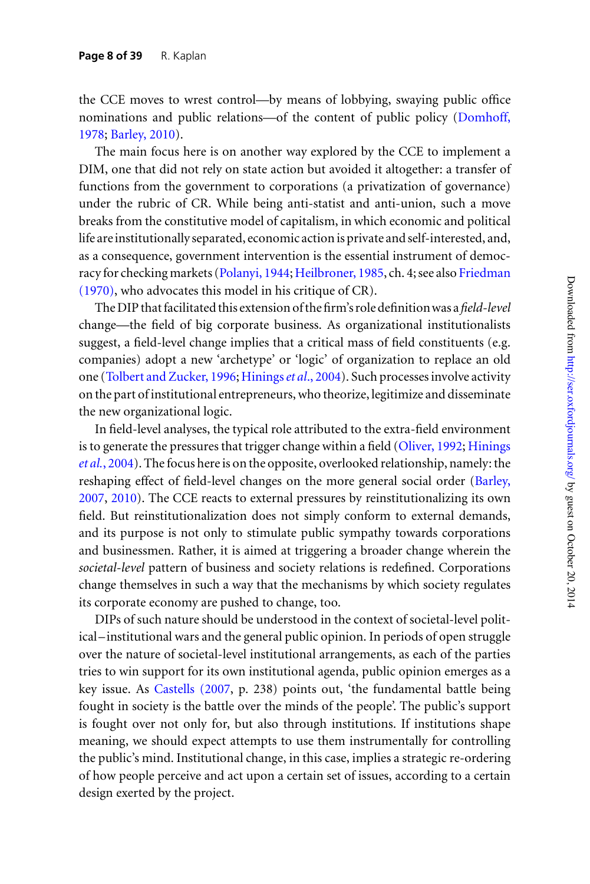the CCE moves to wrest control—by means of lobbying, swaying public office nominations and public relations—of the content of public policy ([Domhoff,](#page-34-0) [1978](#page-34-0); [Barley, 2010](#page-33-0)).

The main focus here is on another way explored by the CCE to implement a DIM, one that did not rely on state action but avoided it altogether: a transfer of functions from the government to corporations (a privatization of governance) under the rubric of CR. While being anti-statist and anti-union, such a move breaks from the constitutive model of capitalism, in which economic and political life areinstitutionally separated, economic action is private and self-interested, and, as a consequence, government intervention is the essential instrument of democ-racy for checking markets ([Polanyi, 1944](#page-37-0); [Heilbroner, 1985,](#page-35-0) ch. 4; see also [Friedman](#page-34-0) [\(1970\),](#page-34-0) who advocates this model in his critique of CR).

The DIP that facilitated this extension of the firm's role definition was a field-level change—the field of big corporate business. As organizational institutionalists suggest, a field-level change implies that a critical mass of field constituents (e.g. companies) adopt a new 'archetype' or 'logic' of organization to replace an old one [\(Tolbert and Zucker, 1996](#page-38-0); [Hinings](#page-35-0) et al., 2004). Such processes involve activity on the part of institutional entrepreneurs, who theorize, legitimize and disseminate the new organizational logic.

In field-level analyses, the typical role attributed to the extra-field environment is to generate the pressures that trigger change within a field ([Oliver, 1992;](#page-37-0) [Hinings](#page-35-0) et al.[, 2004](#page-35-0)). The focus here is on the opposite, overlooked relationship, namely: the reshaping effect of field-level changes on the more general social order [\(Barley,](#page-33-0) [2007](#page-33-0), [2010\)](#page-33-0). The CCE reacts to external pressures by reinstitutionalizing its own field. But reinstitutionalization does not simply conform to external demands, and its purpose is not only to stimulate public sympathy towards corporations and businessmen. Rather, it is aimed at triggering a broader change wherein the societal-level pattern of business and society relations is redefined. Corporations change themselves in such a way that the mechanisms by which society regulates its corporate economy are pushed to change, too.

DIPs of such nature should be understood in the context of societal-level political –institutional wars and the general public opinion. In periods of open struggle over the nature of societal-level institutional arrangements, as each of the parties tries to win support for its own institutional agenda, public opinion emerges as a key issue. As [Castells \(2007,](#page-33-0) p. 238) points out, 'the fundamental battle being fought in society is the battle over the minds of the people'. The public's support is fought over not only for, but also through institutions. If institutions shape meaning, we should expect attempts to use them instrumentally for controlling the public's mind. Institutional change, in this case, implies a strategic re-ordering of how people perceive and act upon a certain set of issues, according to a certain design exerted by the project.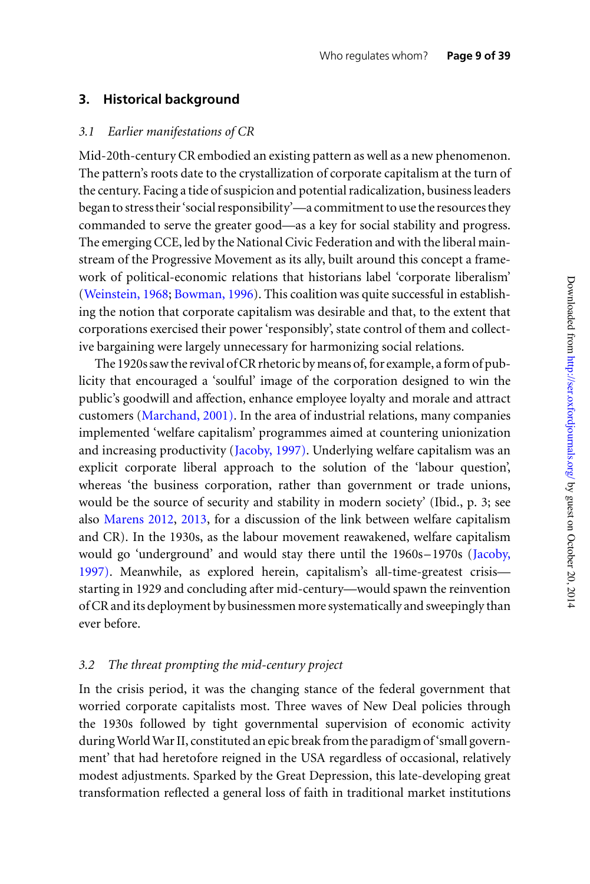# 3. Historical background

### 3.1 Earlier manifestations of CR

Mid-20th-century CR embodied an existing pattern as well as a new phenomenon. The pattern's roots date to the crystallization of corporate capitalism at the turn of the century. Facing a tide of suspicion and potential radicalization, business leaders began to stress their 'social responsibility'—a commitment to use the resources they commanded to serve the greater good—as a key for social stability and progress. The emerging CCE, led by the National Civic Federation and with the liberal mainstream of the Progressive Movement as its ally, built around this concept a framework of political-economic relations that historians label 'corporate liberalism' ([Weinstein, 1968](#page-38-0); [Bowman, 1996](#page-33-0)). This coalition was quite successful in establishing the notion that corporate capitalism was desirable and that, to the extent that corporations exercised their power 'responsibly', state control of them and collective bargaining were largely unnecessary for harmonizing social relations.

The 1920s saw the revival of CR rhetoric by means of, for example, a form of publicity that encouraged a 'soulful' image of the corporation designed to win the public's goodwill and affection, enhance employee loyalty and morale and attract customers [\(Marchand, 2001\)](#page-36-0). In the area of industrial relations, many companies implemented 'welfare capitalism' programmes aimed at countering unionization and increasing productivity ([Jacoby, 1997\).](#page-35-0) Underlying welfare capitalism was an explicit corporate liberal approach to the solution of the 'labour question', whereas 'the business corporation, rather than government or trade unions, would be the source of security and stability in modern society' (Ibid., p. 3; see also [Marens 2012](#page-36-0), [2013](#page-36-0), for a discussion of the link between welfare capitalism and CR). In the 1930s, as the labour movement reawakened, welfare capitalism would go 'underground' and would stay there until the 1960s–1970s ([Jacoby,](#page-35-0) [1997\)](#page-35-0). Meanwhile, as explored herein, capitalism's all-time-greatest crisis starting in 1929 and concluding after mid-century—would spawn the reinvention of CR and its deployment by businessmen more systematically and sweepingly than ever before.

# 3.2 The threat prompting the mid-century project

In the crisis period, it was the changing stance of the federal government that worried corporate capitalists most. Three waves of New Deal policies through the 1930s followed by tight governmental supervision of economic activity duringWorldWar II, constituted an epic break from the paradigm of 'small government' that had heretofore reigned in the USA regardless of occasional, relatively modest adjustments. Sparked by the Great Depression, this late-developing great transformation reflected a general loss of faith in traditional market institutions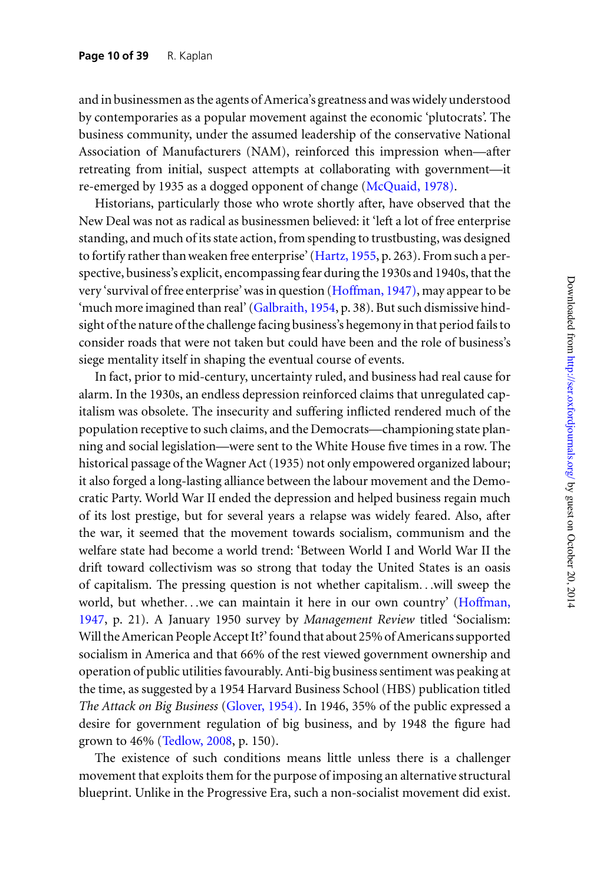and in businessmen as the agents of America's greatness and was widely understood by contemporaries as a popular movement against the economic 'plutocrats'. The business community, under the assumed leadership of the conservative National Association of Manufacturers (NAM), reinforced this impression when—after retreating from initial, suspect attempts at collaborating with government—it re-emerged by 1935 as a dogged opponent of change ([McQuaid, 1978\).](#page-36-0)

Historians, particularly those who wrote shortly after, have observed that the New Deal was not as radical as businessmen believed: it 'left a lot of free enterprise standing, and much of its state action, from spending to trustbusting, was designed to fortify rather than weaken free enterprise' [\(Hartz, 1955](#page-35-0), p. 263). From such a perspective, business's explicit, encompassing fear during the 1930s and 1940s, that the very 'survival of free enterprise' was in question [\(Hoffman, 1947\),](#page-35-0) may appear to be 'much more imagined than real' [\(Galbraith, 1954,](#page-34-0) p. 38). But such dismissive hindsight of the nature of the challenge facing business's hegemony in that period fails to consider roads that were not taken but could have been and the role of business's siege mentality itself in shaping the eventual course of events.

In fact, prior to mid-century, uncertainty ruled, and business had real cause for alarm. In the 1930s, an endless depression reinforced claims that unregulated capitalism was obsolete. The insecurity and suffering inflicted rendered much of the population receptive to such claims, and the Democrats—championing state planning and social legislation—were sent to the White House five times in a row. The historical passage of the Wagner Act (1935) not only empowered organized labour; it also forged a long-lasting alliance between the labour movement and the Democratic Party. World War II ended the depression and helped business regain much of its lost prestige, but for several years a relapse was widely feared. Also, after the war, it seemed that the movement towards socialism, communism and the welfare state had become a world trend: 'Between World I and World War II the drift toward collectivism was so strong that today the United States is an oasis of capitalism. The pressing question is not whether capitalism...will sweep the world, but whether...we can maintain it here in our own country' ([Hoffman,](#page-35-0) [1947](#page-35-0), p. 21). A January 1950 survey by Management Review titled 'Socialism: Will the American People Accept It?'found that about 25% of Americans supported socialism in America and that 66% of the rest viewed government ownership and operation of public utilities favourably. Anti-big business sentiment was peaking at the time, as suggested by a 1954 Harvard Business School (HBS) publication titled The Attack on Big Business ([Glover, 1954\).](#page-35-0) In 1946, 35% of the public expressed a desire for government regulation of big business, and by 1948 the figure had grown to 46% ([Tedlow, 2008](#page-38-0), p. 150).

The existence of such conditions means little unless there is a challenger movement that exploits them for the purpose of imposing an alternative structural blueprint. Unlike in the Progressive Era, such a non-socialist movement did exist.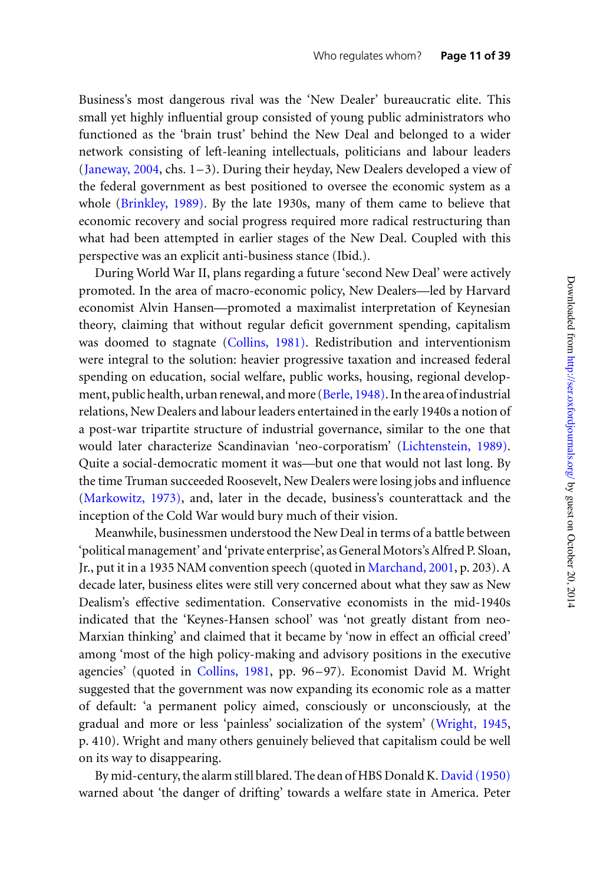Business's most dangerous rival was the 'New Dealer' bureaucratic elite. This small yet highly influential group consisted of young public administrators who functioned as the 'brain trust' behind the New Deal and belonged to a wider network consisting of left-leaning intellectuals, politicians and labour leaders ([Janeway, 2004](#page-35-0), chs. 1–3). During their heyday, New Dealers developed a view of the federal government as best positioned to oversee the economic system as a whole ([Brinkley, 1989\).](#page-33-0) By the late 1930s, many of them came to believe that economic recovery and social progress required more radical restructuring than what had been attempted in earlier stages of the New Deal. Coupled with this perspective was an explicit anti-business stance (Ibid.).

During World War II, plans regarding a future 'second New Deal' were actively promoted. In the area of macro-economic policy, New Dealers—led by Harvard economist Alvin Hansen—promoted a maximalist interpretation of Keynesian theory, claiming that without regular deficit government spending, capitalism was doomed to stagnate ([Collins, 1981\)](#page-34-0). Redistribution and interventionism were integral to the solution: heavier progressive taxation and increased federal spending on education, social welfare, public works, housing, regional development, public health, urban renewal, and more [\(Berle, 1948\)](#page-33-0). In the area of industrial relations, New Dealers and labour leaders entertained in the early 1940s a notion of a post-war tripartite structure of industrial governance, similar to the one that would later characterize Scandinavian 'neo-corporatism' ([Lichtenstein, 1989\).](#page-36-0) Quite a social-democratic moment it was—but one that would not last long. By the time Truman succeeded Roosevelt, New Dealers were losing jobs and influence ([Markowitz, 1973\),](#page-36-0) and, later in the decade, business's counterattack and the inception of the Cold War would bury much of their vision.

Meanwhile, businessmen understood the New Deal in terms of a battle between 'political management' and 'private enterprise', as General Motors's Alfred P. Sloan, Jr., put it in a 1935 NAM convention speech (quoted in [Marchand, 2001,](#page-36-0) p. 203). A decade later, business elites were still very concerned about what they saw as New Dealism's effective sedimentation. Conservative economists in the mid-1940s indicated that the 'Keynes-Hansen school' was 'not greatly distant from neo-Marxian thinking' and claimed that it became by 'now in effect an official creed' among 'most of the high policy-making and advisory positions in the executive agencies' (quoted in [Collins, 1981](#page-34-0), pp. 96-97). Economist David M. Wright suggested that the government was now expanding its economic role as a matter of default: 'a permanent policy aimed, consciously or unconsciously, at the gradual and more or less 'painless' socialization of the system' ([Wright, 1945,](#page-38-0) p. 410). Wright and many others genuinely believed that capitalism could be well on its way to disappearing.

By mid-century, the alarm still blared. The dean of HBS Donald K. [David \(1950\)](#page-34-0) warned about 'the danger of drifting' towards a welfare state in America. Peter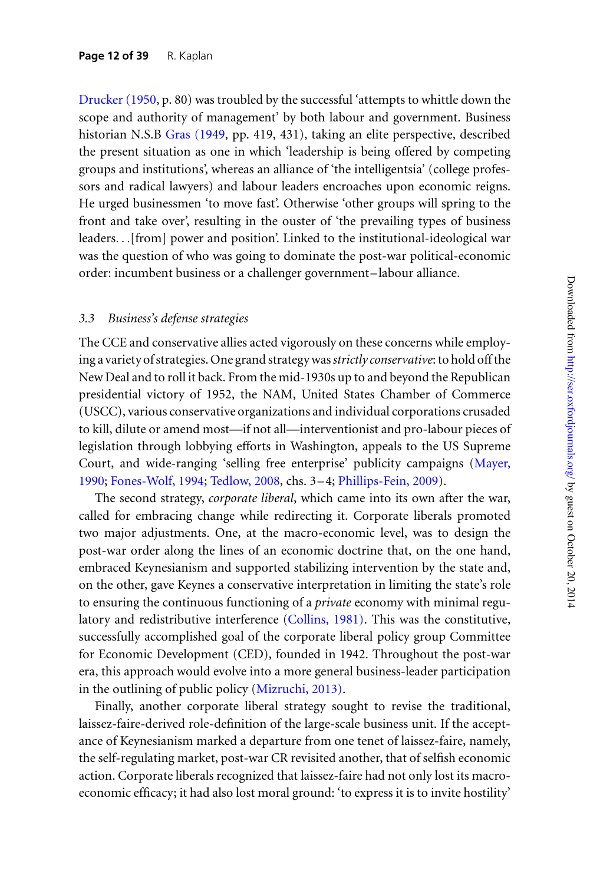[Drucker \(1950](#page-34-0), p. 80) was troubled by the successful 'attempts to whittle down the scope and authority of management' by both labour and government. Business historian N.S.B [Gras \(1949,](#page-35-0) pp. 419, 431), taking an elite perspective, described the present situation as one in which 'leadership is being offered by competing groups and institutions', whereas an alliance of 'the intelligentsia' (college professors and radical lawyers) and labour leaders encroaches upon economic reigns. He urged businessmen 'to move fast'. Otherwise 'other groups will spring to the front and take over', resulting in the ouster of 'the prevailing types of business leaders...[from] power and position'. Linked to the institutional-ideological war was the question of who was going to dominate the post-war political-economic order: incumbent business or a challenger government –labour alliance.

#### 3.3 Business's defense strategies

The CCE and conservative allies acted vigorously on these concerns while employing a variety of strategies. One grand strategy was strictly conservative: to hold off the New Deal and to roll it back. From the mid-1930s up to and beyond the Republican presidential victory of 1952, the NAM, United States Chamber of Commerce (USCC), various conservative organizations and individual corporations crusaded to kill, dilute or amend most—if not all—interventionist and pro-labour pieces of legislation through lobbying efforts in Washington, appeals to the US Supreme Court, and wide-ranging 'selling free enterprise' publicity campaigns ([Mayer,](#page-36-0) [1990](#page-36-0); [Fones-Wolf, 1994](#page-34-0); [Tedlow, 2008,](#page-38-0) chs. 3–4; [Phillips-Fein, 2009\)](#page-37-0).

The second strategy, corporate liberal, which came into its own after the war, called for embracing change while redirecting it. Corporate liberals promoted two major adjustments. One, at the macro-economic level, was to design the post-war order along the lines of an economic doctrine that, on the one hand, embraced Keynesianism and supported stabilizing intervention by the state and, on the other, gave Keynes a conservative interpretation in limiting the state's role to ensuring the continuous functioning of a *private* economy with minimal regulatory and redistributive interference [\(Collins, 1981\)](#page-34-0). This was the constitutive, successfully accomplished goal of the corporate liberal policy group Committee for Economic Development (CED), founded in 1942. Throughout the post-war era, this approach would evolve into a more general business-leader participation in the outlining of public policy [\(Mizruchi, 2013\).](#page-36-0)

Finally, another corporate liberal strategy sought to revise the traditional, laissez-faire-derived role-definition of the large-scale business unit. If the acceptance of Keynesianism marked a departure from one tenet of laissez-faire, namely, the self-regulating market, post-war CR revisited another, that of selfish economic action. Corporate liberals recognized that laissez-faire had not only lost its macroeconomic efficacy; it had also lost moral ground: 'to express it is to invite hostility'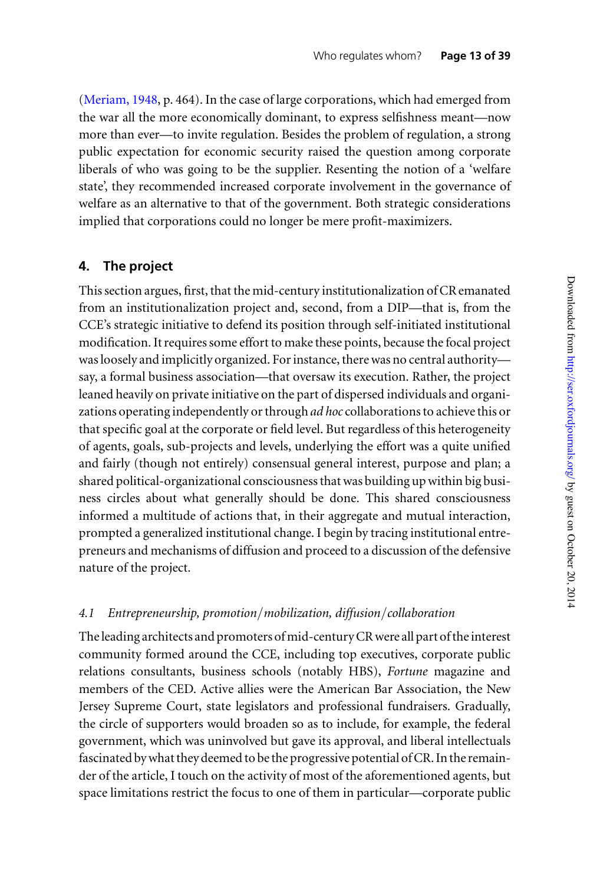([Meriam, 1948](#page-36-0), p. 464). In the case of large corporations, which had emerged from the war all the more economically dominant, to express selfishness meant—now more than ever—to invite regulation. Besides the problem of regulation, a strong public expectation for economic security raised the question among corporate liberals of who was going to be the supplier. Resenting the notion of a 'welfare state', they recommended increased corporate involvement in the governance of welfare as an alternative to that of the government. Both strategic considerations implied that corporations could no longer be mere profit-maximizers.

### 4. The project

This section argues, first, that the mid-century institutionalization of CR emanated from an institutionalization project and, second, from a DIP—that is, from the CCE's strategic initiative to defend its position through self-initiated institutional modification. It requires some effort to make these points, because the focal project was loosely and implicitly organized. For instance, there was no central authority say, a formal business association—that oversaw its execution. Rather, the project leaned heavily on private initiative on the part of dispersed individuals and organizations operating independently or through *ad hoc* collaborations to achieve this or that specific goal at the corporate or field level. But regardless of this heterogeneity of agents, goals, sub-projects and levels, underlying the effort was a quite unified and fairly (though not entirely) consensual general interest, purpose and plan; a shared political-organizational consciousness that was building up within big business circles about what generally should be done. This shared consciousness informed a multitude of actions that, in their aggregate and mutual interaction, prompted a generalized institutional change. I begin by tracing institutional entrepreneurs and mechanisms of diffusion and proceed to a discussion of the defensive nature of the project.

#### 4.1 Entrepreneurship, promotion/mobilization, diffusion/collaboration

The leading architects and promoters of mid-century CR were all part of the interest community formed around the CCE, including top executives, corporate public relations consultants, business schools (notably HBS), Fortune magazine and members of the CED. Active allies were the American Bar Association, the New Jersey Supreme Court, state legislators and professional fundraisers. Gradually, the circle of supporters would broaden so as to include, for example, the federal government, which was uninvolved but gave its approval, and liberal intellectuals fascinated by what they deemed to be the progressive potential of CR. In the remainder of the article, I touch on the activity of most of the aforementioned agents, but space limitations restrict the focus to one of them in particular—corporate public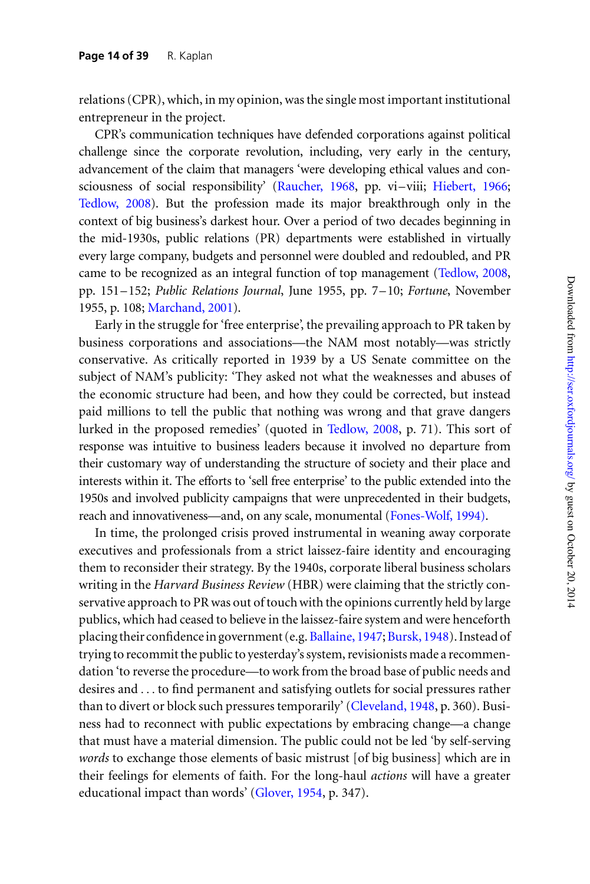relations (CPR), which, in my opinion, was the single most important institutional entrepreneur in the project.

CPR's communication techniques have defended corporations against political challenge since the corporate revolution, including, very early in the century, advancement of the claim that managers 'were developing ethical values and consciousness of social responsibility' [\(Raucher, 1968](#page-37-0), pp. vi–viii; [Hiebert, 1966;](#page-35-0) [Tedlow, 2008](#page-38-0)). But the profession made its major breakthrough only in the context of big business's darkest hour. Over a period of two decades beginning in the mid-1930s, public relations (PR) departments were established in virtually every large company, budgets and personnel were doubled and redoubled, and PR came to be recognized as an integral function of top management ([Tedlow, 2008,](#page-38-0) pp. 151–152; Public Relations Journal, June 1955, pp. 7–10; Fortune, November 1955, p. 108; [Marchand, 2001\)](#page-36-0).

Early in the struggle for 'free enterprise', the prevailing approach to PR taken by business corporations and associations—the NAM most notably—was strictly conservative. As critically reported in 1939 by a US Senate committee on the subject of NAM's publicity: 'They asked not what the weaknesses and abuses of the economic structure had been, and how they could be corrected, but instead paid millions to tell the public that nothing was wrong and that grave dangers lurked in the proposed remedies' (quoted in [Tedlow, 2008](#page-38-0), p. 71). This sort of response was intuitive to business leaders because it involved no departure from their customary way of understanding the structure of society and their place and interests within it. The efforts to 'sell free enterprise' to the public extended into the 1950s and involved publicity campaigns that were unprecedented in their budgets, reach and innovativeness—and, on any scale, monumental ([Fones-Wolf, 1994\)](#page-34-0).

In time, the prolonged crisis proved instrumental in weaning away corporate executives and professionals from a strict laissez-faire identity and encouraging them to reconsider their strategy. By the 1940s, corporate liberal business scholars writing in the Harvard Business Review (HBR) were claiming that the strictly conservative approach to PR was out of touch with the opinions currently held by large publics, which had ceased to believe in the laissez-faire system and were henceforth placing their confidence in government (e.g. Ballaine, 1947; Bursk, 1948). Instead of trying to recommit the public to yesterday's system, revisionists made a recommendation 'to reverse the procedure—to work from the broad base of public needs and desires and ... to find permanent and satisfying outlets for social pressures rather than to divert or block such pressures temporarily' [\(Cleveland, 1948](#page-34-0), p. 360). Business had to reconnect with public expectations by embracing change—a change that must have a material dimension. The public could not be led 'by self-serving words to exchange those elements of basic mistrust [of big business] which are in their feelings for elements of faith. For the long-haul *actions* will have a greater educational impact than words' ([Glover, 1954,](#page-35-0) p. 347).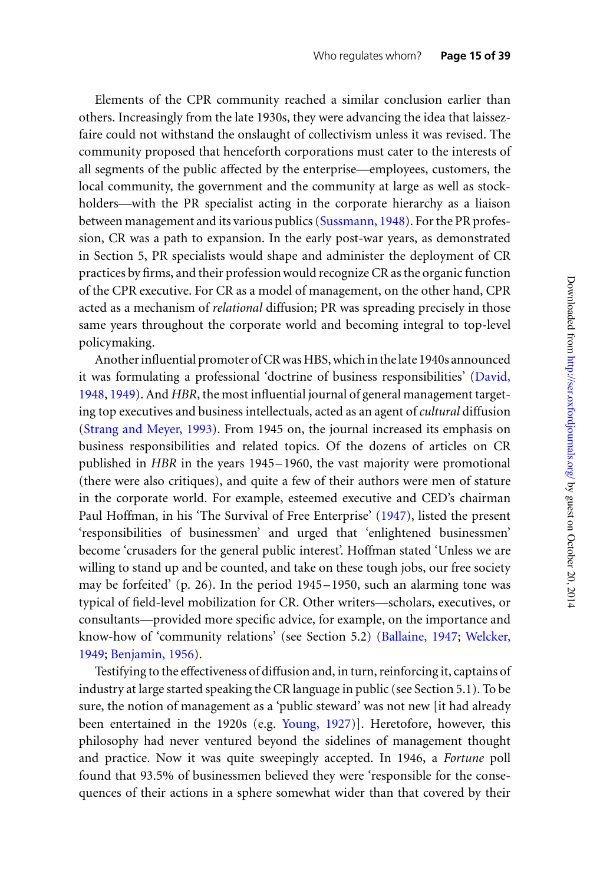Elements of the CPR community reached a similar conclusion earlier than others. Increasingly from the late 1930s, they were advancing the idea that laissezfaire could not withstand the onslaught of collectivism unless it was revised. The community proposed that henceforth corporations must cater to the interests of all segments of the public affected by the enterprise—employees, customers, the local community, the government and the community at large as well as stockholders—with the PR specialist acting in the corporate hierarchy as a liaison between management and its various publics [\(Sussmann, 1948\)](#page-38-0). For the PR profession, CR was a path to expansion. In the early post-war years, as demonstrated in Section 5, PR specialists would shape and administer the deployment of CR practices by firms, and their profession would recognize CR as the organic function of the CPR executive. For CR as a model of management, on the other hand, CPR acted as a mechanism of *relational* diffusion; PR was spreading precisely in those same years throughout the corporate world and becoming integral to top-level policymaking.

Another influential promoter ofCRwas HBS,whichin the late 1940s announced it was formulating a professional 'doctrine of business responsibilities' [\(David,](#page-34-0) [1948](#page-34-0), [1949\)](#page-34-0). And HBR, the most influential journal of general management targeting top executives and business intellectuals, acted as an agent of *cultural* diffusion ([Strang and Meyer, 1993](#page-38-0)). From 1945 on, the journal increased its emphasis on business responsibilities and related topics. Of the dozens of articles on CR published in HBR in the years 1945 –1960, the vast majority were promotional (there were also critiques), and quite a few of their authors were men of stature in the corporate world. For example, esteemed executive and CED's chairman Paul Hoffman, in his 'The Survival of Free Enterprise' ([1947\)](#page-35-0), listed the present 'responsibilities of businessmen' and urged that 'enlightened businessmen' become 'crusaders for the general public interest'. Hoffman stated 'Unless we are willing to stand up and be counted, and take on these tough jobs, our free society may be forfeited' (p. 26). In the period 1945 –1950, such an alarming tone was typical of field-level mobilization for CR. Other writers—scholars, executives, or consultants—provided more specific advice, for example, on the importance and know-how of 'community relations' (see Section 5.2) [\(Ballaine, 1947](#page-33-0); [Welcker,](#page-38-0) [1949](#page-38-0); [Benjamin, 1956\)](#page-33-0).

Testifying to the effectiveness of diffusion and, in turn, reinforcing it, captains of industry at large started speaking the CR language in public (see Section 5.1). To be sure, the notion of management as a 'public steward' was not new [it had already been entertained in the 1920s (e.g. [Young, 1927](#page-38-0))]. Heretofore, however, this philosophy had never ventured beyond the sidelines of management thought and practice. Now it was quite sweepingly accepted. In 1946, a Fortune poll found that 93.5% of businessmen believed they were 'responsible for the consequences of their actions in a sphere somewhat wider than that covered by their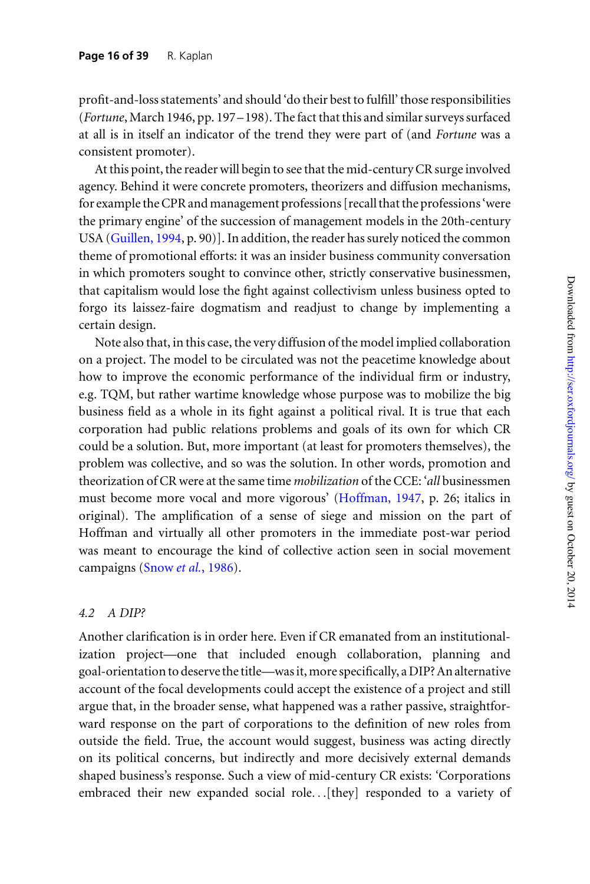profit-and-loss statements' and should 'do their best to fulfill' those responsibilities (Fortune, March 1946, pp. 197–198). The fact that this and similar surveys surfaced at all is in itself an indicator of the trend they were part of (and Fortune was a consistent promoter).

At this point, the reader will begin to see that the mid-century CR surge involved agency. Behind it were concrete promoters, theorizers and diffusion mechanisms, for example the CPR and management professions [recall that the professions 'were the primary engine' of the succession of management models in the 20th-century USA [\(Guillen, 1994](#page-35-0), p. 90)]. In addition, the reader has surely noticed the common theme of promotional efforts: it was an insider business community conversation in which promoters sought to convince other, strictly conservative businessmen, that capitalism would lose the fight against collectivism unless business opted to forgo its laissez-faire dogmatism and readjust to change by implementing a certain design.

Note also that, in this case, the very diffusion of the model implied collaboration on a project. The model to be circulated was not the peacetime knowledge about how to improve the economic performance of the individual firm or industry, e.g. TQM, but rather wartime knowledge whose purpose was to mobilize the big business field as a whole in its fight against a political rival. It is true that each corporation had public relations problems and goals of its own for which CR could be a solution. But, more important (at least for promoters themselves), the problem was collective, and so was the solution. In other words, promotion and theorization of CR were at the same time *mobilization* of the CCE: 'all businessmen must become more vocal and more vigorous' [\(Hoffman, 1947,](#page-35-0) p. 26; italics in original). The amplification of a sense of siege and mission on the part of Hoffman and virtually all other promoters in the immediate post-war period was meant to encourage the kind of collective action seen in social movement campaigns (Snow et al.[, 1986](#page-37-0)).

# 4.2 A DIP?

Another clarification is in order here. Even if CR emanated from an institutionalization project—one that included enough collaboration, planning and goal-orientation to deserve the title—was it, more specifically, a DIP? An alternative account of the focal developments could accept the existence of a project and still argue that, in the broader sense, what happened was a rather passive, straightforward response on the part of corporations to the definition of new roles from outside the field. True, the account would suggest, business was acting directly on its political concerns, but indirectly and more decisively external demands shaped business's response. Such a view of mid-century CR exists: 'Corporations embraced their new expanded social role...[they] responded to a variety of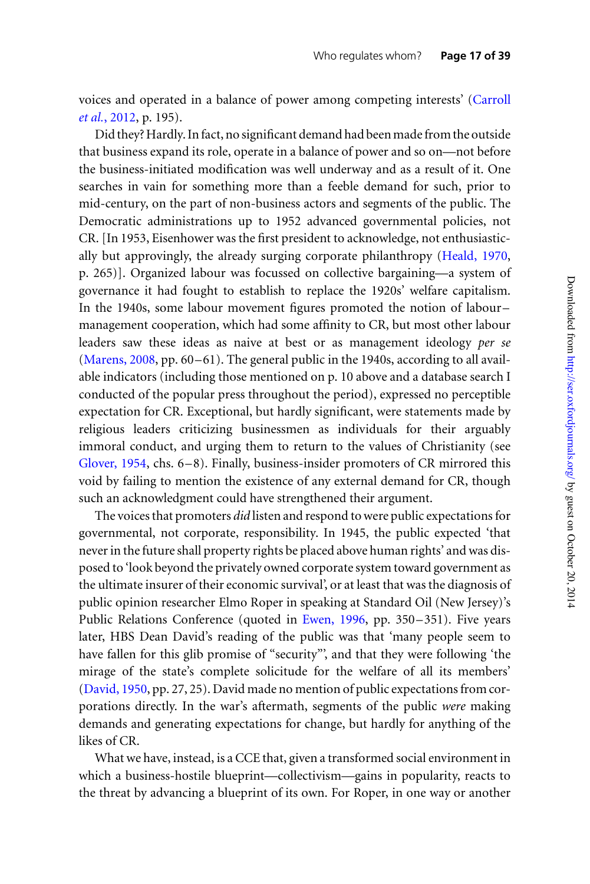voices and operated in a balance of power among competing interests' ([Carroll](#page-33-0) et al.[, 2012,](#page-33-0) p. 195).

Did they? Hardly. In fact, no significant demand had been made from the outside that business expand its role, operate in a balance of power and so on—not before the business-initiated modification was well underway and as a result of it. One searches in vain for something more than a feeble demand for such, prior to mid-century, on the part of non-business actors and segments of the public. The Democratic administrations up to 1952 advanced governmental policies, not CR. [In 1953, Eisenhower was the first president to acknowledge, not enthusiastically but approvingly, the already surging corporate philanthropy ([Heald, 1970,](#page-35-0) p. 265)]. Organized labour was focussed on collective bargaining—a system of governance it had fought to establish to replace the 1920s' welfare capitalism. In the 1940s, some labour movement figures promoted the notion of labour – management cooperation, which had some affinity to CR, but most other labour leaders saw these ideas as naive at best or as management ideology *per se* ([Marens, 2008](#page-36-0), pp. 60–61). The general public in the 1940s, according to all available indicators (including those mentioned on p. 10 above and a database search I conducted of the popular press throughout the period), expressed no perceptible expectation for CR. Exceptional, but hardly significant, were statements made by religious leaders criticizing businessmen as individuals for their arguably immoral conduct, and urging them to return to the values of Christianity (see [Glover, 1954,](#page-35-0) chs. 6–8). Finally, business-insider promoters of CR mirrored this void by failing to mention the existence of any external demand for CR, though such an acknowledgment could have strengthened their argument.

The voices that promoters did listen and respond to were public expectations for governmental, not corporate, responsibility. In 1945, the public expected 'that never in the future shall property rights be placed above human rights' and was disposed to 'look beyond the privately owned corporate system toward government as the ultimate insurer of their economic survival', or at least that was the diagnosis of public opinion researcher Elmo Roper in speaking at Standard Oil (New Jersey)'s Public Relations Conference (quoted in [Ewen, 1996,](#page-34-0) pp. 350–351). Five years later, HBS Dean David's reading of the public was that 'many people seem to have fallen for this glib promise of "security"', and that they were following 'the mirage of the state's complete solicitude for the welfare of all its members' ([David, 1950](#page-34-0), pp. 27, 25). David made no mention of public expectations from corporations directly. In the war's aftermath, segments of the public were making demands and generating expectations for change, but hardly for anything of the likes of CR.

What we have, instead, is a CCE that, given a transformed social environment in which a business-hostile blueprint—collectivism—gains in popularity, reacts to the threat by advancing a blueprint of its own. For Roper, in one way or another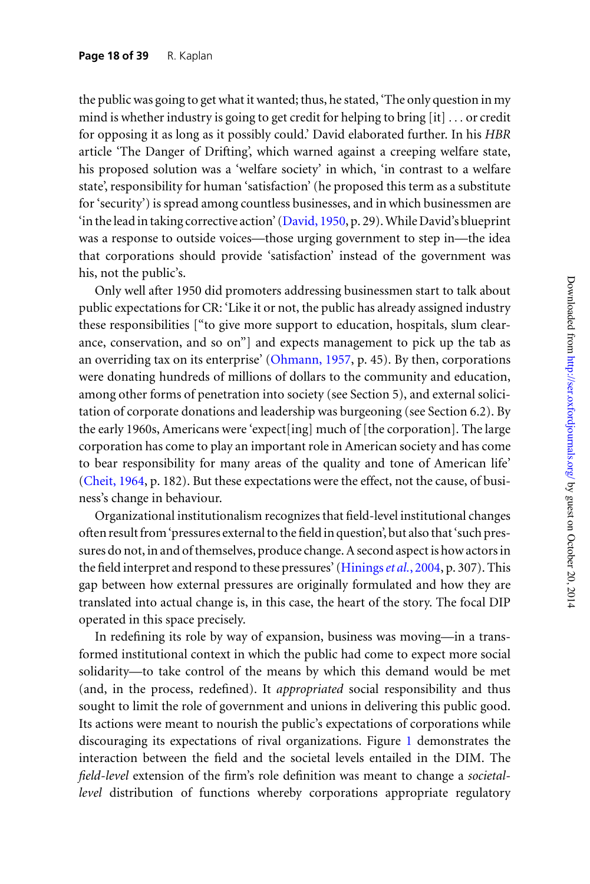the public was going to get what it wanted; thus, he stated, 'The only question in my mind is whether industry is going to get credit for helping to bring  $[it]$ ... or credit for opposing it as long as it possibly could.' David elaborated further. In his HBR article 'The Danger of Drifting', which warned against a creeping welfare state, his proposed solution was a 'welfare society' in which, 'in contrast to a welfare state', responsibility for human 'satisfaction' (he proposed this term as a substitute for 'security') is spread among countless businesses, and in which businessmen are 'in the lead in taking corrective action' ([David, 1950](#page-34-0), p. 29).While David's blueprint was a response to outside voices—those urging government to step in—the idea that corporations should provide 'satisfaction' instead of the government was his, not the public's.

Only well after 1950 did promoters addressing businessmen start to talk about public expectations for CR: 'Like it or not, the public has already assigned industry these responsibilities ["to give more support to education, hospitals, slum clearance, conservation, and so on"] and expects management to pick up the tab as an overriding tax on its enterprise' ([Ohmann, 1957](#page-37-0), p. 45). By then, corporations were donating hundreds of millions of dollars to the community and education, among other forms of penetration into society (see Section 5), and external solicitation of corporate donations and leadership was burgeoning (see Section 6.2). By the early 1960s, Americans were 'expect[ing] much of [the corporation]. The large corporation has come to play an important role in American society and has come to bear responsibility for many areas of the quality and tone of American life' ([Cheit, 1964](#page-33-0), p. 182). But these expectations were the effect, not the cause, of business's change in behaviour.

Organizational institutionalism recognizes that field-level institutional changes often result from 'pressures external to the field in question', but also that 'such pressures do not, in and of themselves, produce change. A second aspect is how actors in the field interpret and respond to these pressures' ([Hinings](#page-35-0) et al., 2004, p. 307). This gap between how external pressures are originally formulated and how they are translated into actual change is, in this case, the heart of the story. The focal DIP operated in this space precisely.

In redefining its role by way of expansion, business was moving—in a transformed institutional context in which the public had come to expect more social solidarity—to take control of the means by which this demand would be met (and, in the process, redefined). It appropriated social responsibility and thus sought to limit the role of government and unions in delivering this public good. Its actions were meant to nourish the public's expectations of corporations while discouraging its expectations of rival organizations. Figure [1](#page-18-0) demonstrates the interaction between the field and the societal levels entailed in the DIM. The field-level extension of the firm's role definition was meant to change a societallevel distribution of functions whereby corporations appropriate regulatory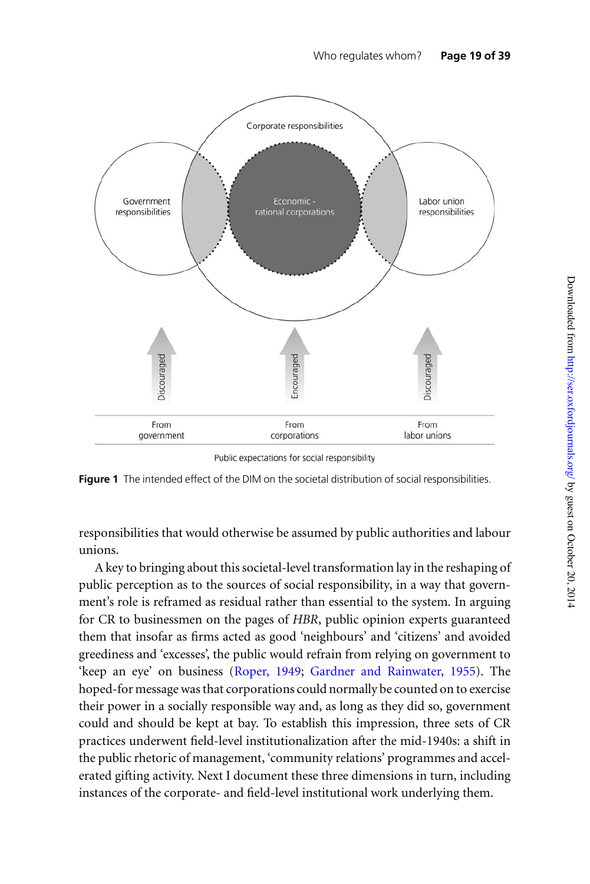<span id="page-18-0"></span>

Public expectations for social responsibility

Figure 1 The intended effect of the DIM on the societal distribution of social responsibilities.

responsibilities that would otherwise be assumed by public authorities and labour unions.

A key to bringing about this societal-level transformation lay in the reshaping of public perception as to the sources of social responsibility, in a way that government's role is reframed as residual rather than essential to the system. In arguing for CR to businessmen on the pages of HBR, public opinion experts guaranteed them that insofar as firms acted as good 'neighbours' and 'citizens' and avoided greediness and 'excesses', the public would refrain from relying on government to 'keep an eye' on business ([Roper, 1949;](#page-37-0) [Gardner and Rainwater, 1955\)](#page-34-0). The hoped-for message was that corporations could normally be counted on to exercise their power in a socially responsible way and, as long as they did so, government could and should be kept at bay. To establish this impression, three sets of CR practices underwent field-level institutionalization after the mid-1940s: a shift in the public rhetoric of management, 'community relations' programmes and accelerated gifting activity. Next I document these three dimensions in turn, including instances of the corporate- and field-level institutional work underlying them.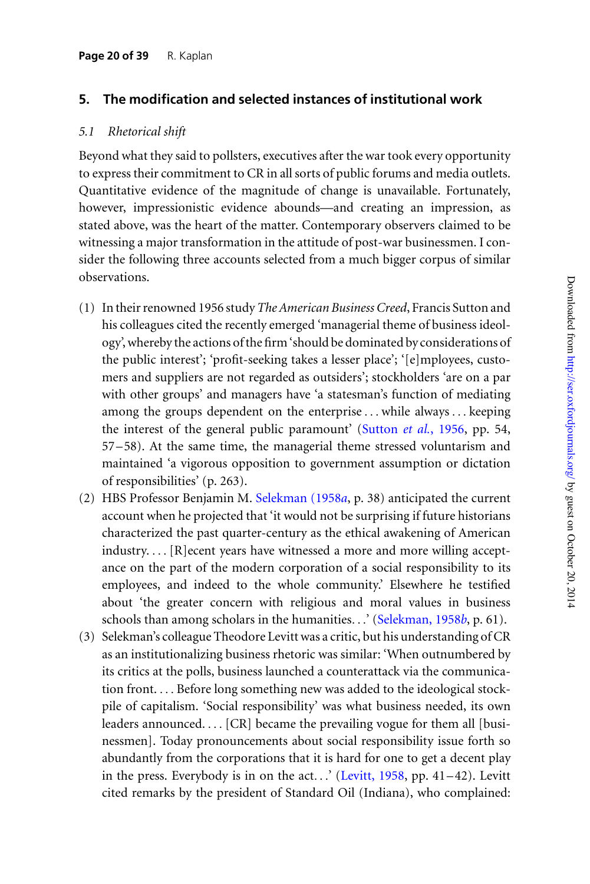# 5. The modification and selected instances of institutional work

# 5.1 Rhetorical shift

Beyond what they said to pollsters, executives after the war took every opportunity to express their commitment to CR in all sorts of public forums and media outlets. Quantitative evidence of the magnitude of change is unavailable. Fortunately, however, impressionistic evidence abounds—and creating an impression, as stated above, was the heart of the matter. Contemporary observers claimed to be witnessing a major transformation in the attitude of post-war businessmen. I consider the following three accounts selected from a much bigger corpus of similar observations.

- (1) In their renowned 1956 study The American Business Creed, Francis Sutton and his colleagues cited the recently emerged 'managerial theme of business ideology', whereby the actions of the firm 'should be dominated by considerations of the public interest'; 'profit-seeking takes a lesser place'; '[e]mployees, customers and suppliers are not regarded as outsiders'; stockholders 'are on a par with other groups' and managers have 'a statesman's function of mediating among the groups dependent on the enterprise ... while always ... keeping the interest of the general public paramount' ([Sutton](#page-38-0) *et al.*, 1956, pp. 54, 57 –58). At the same time, the managerial theme stressed voluntarism and maintained 'a vigorous opposition to government assumption or dictation of responsibilities' (p. 263).
- (2) HBS Professor Benjamin M. [Selekman \(1958](#page-37-0)a, p. 38) anticipated the current account when he projected that 'it would not be surprising if future historians characterized the past quarter-century as the ethical awakening of American industry. ... [R]ecent years have witnessed a more and more willing acceptance on the part of the modern corporation of a social responsibility to its employees, and indeed to the whole community.' Elsewhere he testified about 'the greater concern with religious and moral values in business schools than among scholars in the humanities...' [\(Selekman, 1958](#page-37-0)b, p. 61).
- (3) Selekman's colleague Theodore Levitt was a critic, but his understanding of CR as an institutionalizing business rhetoric was similar: 'When outnumbered by its critics at the polls, business launched a counterattack via the communication front. ... Before long something new was added to the ideological stockpile of capitalism. 'Social responsibility' was what business needed, its own leaders announced. ... [CR] became the prevailing vogue for them all [businessmen]. Today pronouncements about social responsibility issue forth so abundantly from the corporations that it is hard for one to get a decent play in the press. Everybody is in on the act...' (Levitt,  $1958$ , pp. 41-42). Levitt cited remarks by the president of Standard Oil (Indiana), who complained: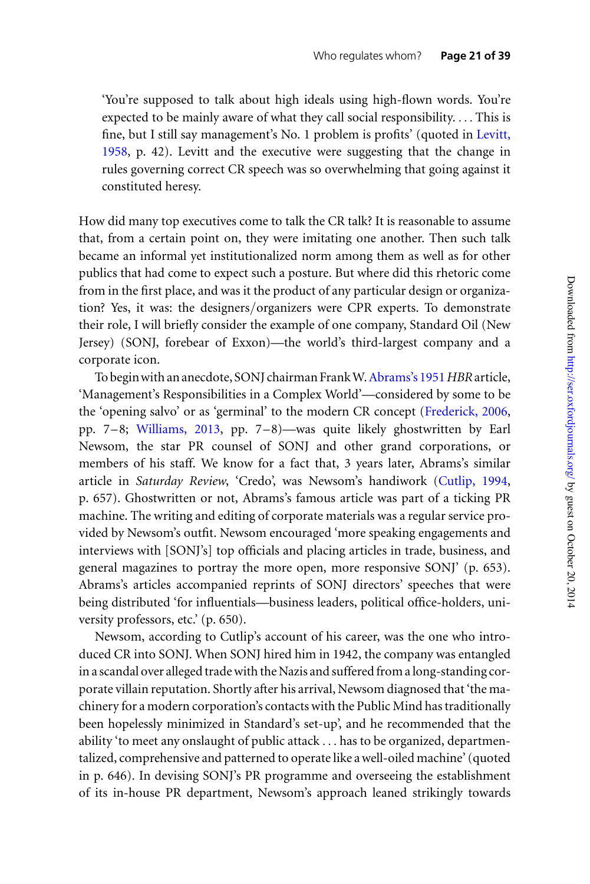'You're supposed to talk about high ideals using high-flown words. You're expected to be mainly aware of what they call social responsibility. ... This is fine, but I still say management's No. 1 problem is profits' (quoted in [Levitt,](#page-35-0) [1958,](#page-35-0) p. 42). Levitt and the executive were suggesting that the change in rules governing correct CR speech was so overwhelming that going against it constituted heresy.

How did many top executives come to talk the CR talk? It is reasonable to assume that, from a certain point on, they were imitating one another. Then such talk became an informal yet institutionalized norm among them as well as for other publics that had come to expect such a posture. But where did this rhetoric come from in the first place, and was it the product of any particular design or organization? Yes, it was: the designers/organizers were CPR experts. To demonstrate their role, I will briefly consider the example of one company, Standard Oil (New Jersey) (SONJ, forebear of Exxon)—the world's third-largest company and a corporate icon.

To begin with an anecdote, SONJ chairman Frank W. [Abrams's 1951](#page-32-0) HBR article, 'Management's Responsibilities in a Complex World'—considered by some to be the 'opening salvo' or as 'germinal' to the modern CR concept ([Frederick, 2006,](#page-34-0) pp. 7–8; [Williams, 2013](#page-38-0), pp. 7 –8)—was quite likely ghostwritten by Earl Newsom, the star PR counsel of SONJ and other grand corporations, or members of his staff. We know for a fact that, 3 years later, Abrams's similar article in Saturday Review, 'Credo', was Newsom's handiwork ([Cutlip, 1994,](#page-34-0) p. 657). Ghostwritten or not, Abrams's famous article was part of a ticking PR machine. The writing and editing of corporate materials was a regular service provided by Newsom's outfit. Newsom encouraged 'more speaking engagements and interviews with [SONJ's] top officials and placing articles in trade, business, and general magazines to portray the more open, more responsive SONJ' (p. 653). Abrams's articles accompanied reprints of SONJ directors' speeches that were being distributed 'for influentials—business leaders, political office-holders, university professors, etc.' (p. 650).

Newsom, according to Cutlip's account of his career, was the one who introduced CR into SONJ. When SONJ hired him in 1942, the company was entangled in a scandal over alleged trade with the Nazis and suffered from a long-standing corporate villain reputation. Shortly after his arrival, Newsom diagnosed that 'the machinery for a modern corporation's contacts with the Public Mind has traditionally been hopelessly minimized in Standard's set-up', and he recommended that the ability 'to meet any onslaught of public attack ... has to be organized, departmentalized, comprehensive and patterned to operate like a well-oiled machine' (quoted in p. 646). In devising SONJ's PR programme and overseeing the establishment of its in-house PR department, Newsom's approach leaned strikingly towards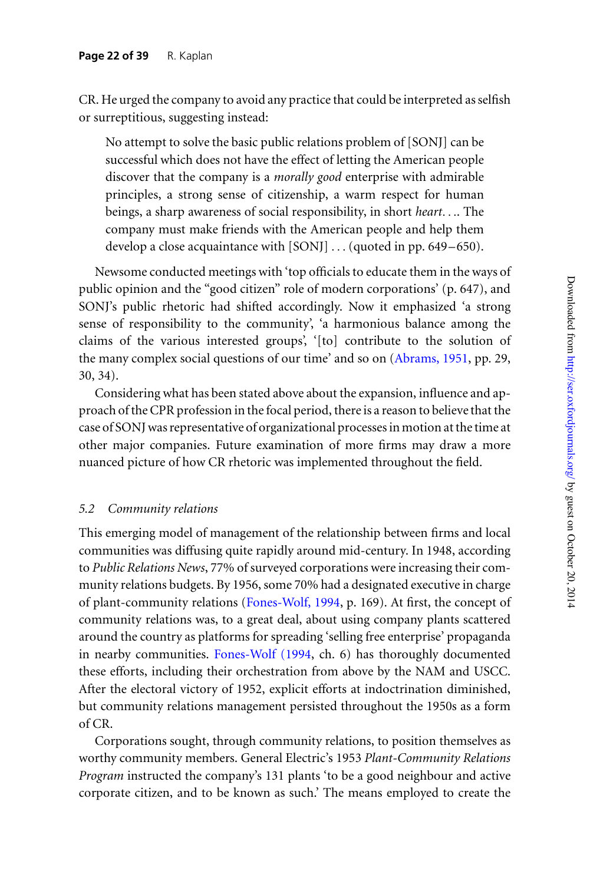CR. He urged the company to avoid any practice that could be interpreted as selfish or surreptitious, suggesting instead:

No attempt to solve the basic public relations problem of [SONJ] can be successful which does not have the effect of letting the American people discover that the company is a morally good enterprise with admirable principles, a strong sense of citizenship, a warm respect for human beings, a sharp awareness of social responsibility, in short heart.... The company must make friends with the American people and help them develop a close acquaintance with [SONJ] ... (quoted in pp. 649–650).

Newsome conducted meetings with 'top officials to educate them in the ways of public opinion and the "good citizen" role of modern corporations' (p. 647), and SONJ's public rhetoric had shifted accordingly. Now it emphasized 'a strong sense of responsibility to the community', 'a harmonious balance among the claims of the various interested groups', '[to] contribute to the solution of the many complex social questions of our time' and so on [\(Abrams, 1951](#page-32-0), pp. 29, 30, 34).

Considering what has been stated above about the expansion, influence and approach of the CPR profession in the focal period, there is a reason to believe that the case of SONJ was representative of organizational processes in motion at the time at other major companies. Future examination of more firms may draw a more nuanced picture of how CR rhetoric was implemented throughout the field.

# 5.2 Community relations

This emerging model of management of the relationship between firms and local communities was diffusing quite rapidly around mid-century. In 1948, according to Public Relations News, 77% of surveyed corporations were increasing their community relations budgets. By 1956, some 70% had a designated executive in charge of plant-community relations ([Fones-Wolf, 1994](#page-34-0), p. 169). At first, the concept of community relations was, to a great deal, about using company plants scattered around the country as platforms for spreading 'selling free enterprise' propaganda in nearby communities. [Fones-Wolf \(1994](#page-34-0), ch. 6) has thoroughly documented these efforts, including their orchestration from above by the NAM and USCC. After the electoral victory of 1952, explicit efforts at indoctrination diminished, but community relations management persisted throughout the 1950s as a form of CR.

Corporations sought, through community relations, to position themselves as worthy community members. General Electric's 1953 Plant-Community Relations Program instructed the company's 131 plants 'to be a good neighbour and active corporate citizen, and to be known as such.' The means employed to create the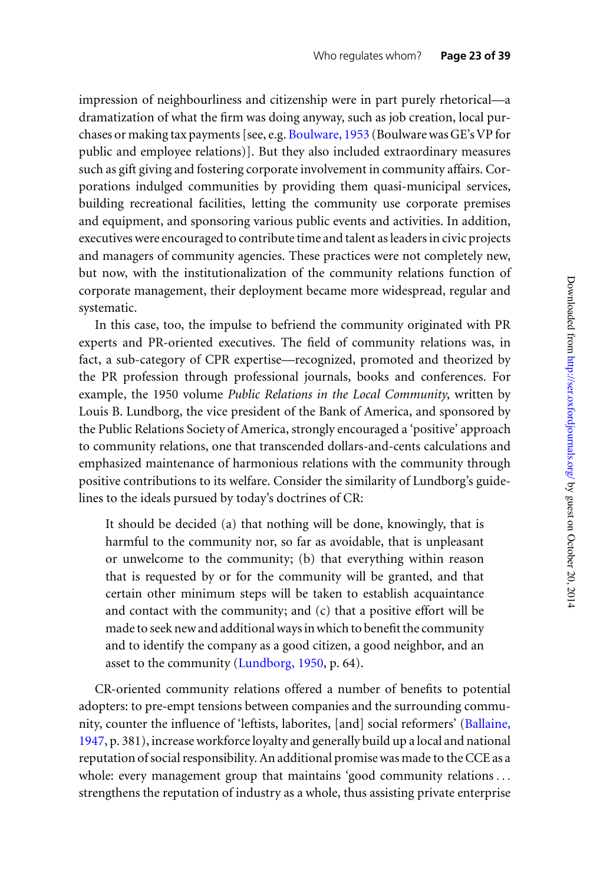impression of neighbourliness and citizenship were in part purely rhetorical—a dramatization of what the firm was doing anyway, such as job creation, local purchases or making tax payments [see, e.g. [Boulware, 1953](#page-33-0) (Boulware was GE's VP for public and employee relations)]. But they also included extraordinary measures such as gift giving and fostering corporate involvement in community affairs. Corporations indulged communities by providing them quasi-municipal services, building recreational facilities, letting the community use corporate premises and equipment, and sponsoring various public events and activities. In addition, executives were encouraged to contribute time and talent as leaders in civic projects and managers of community agencies. These practices were not completely new, but now, with the institutionalization of the community relations function of corporate management, their deployment became more widespread, regular and systematic.

In this case, too, the impulse to befriend the community originated with PR experts and PR-oriented executives. The field of community relations was, in fact, a sub-category of CPR expertise—recognized, promoted and theorized by the PR profession through professional journals, books and conferences. For example, the 1950 volume Public Relations in the Local Community, written by Louis B. Lundborg, the vice president of the Bank of America, and sponsored by the Public Relations Society of America, strongly encouraged a 'positive' approach to community relations, one that transcended dollars-and-cents calculations and emphasized maintenance of harmonious relations with the community through positive contributions to its welfare. Consider the similarity of Lundborg's guidelines to the ideals pursued by today's doctrines of CR:

It should be decided (a) that nothing will be done, knowingly, that is harmful to the community nor, so far as avoidable, that is unpleasant or unwelcome to the community; (b) that everything within reason that is requested by or for the community will be granted, and that certain other minimum steps will be taken to establish acquaintance and contact with the community; and (c) that a positive effort will be made to seek new and additional ways in which to benefit the community and to identify the company as a good citizen, a good neighbor, and an asset to the community ([Lundborg, 1950,](#page-36-0) p. 64).

CR-oriented community relations offered a number of benefits to potential adopters: to pre-empt tensions between companies and the surrounding community, counter the influence of 'leftists, laborites, [and] social reformers' ([Ballaine,](#page-33-0) [1947](#page-33-0), p. 381), increase workforce loyalty and generally build up a local and national reputation of social responsibility. An additional promise was made to the CCE as a whole: every management group that maintains 'good community relations ... strengthens the reputation of industry as a whole, thus assisting private enterprise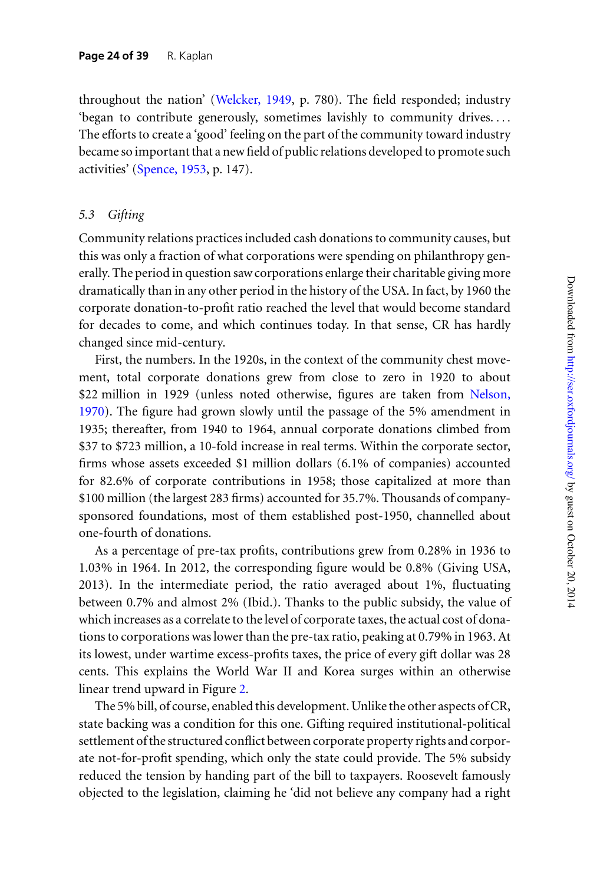throughout the nation' ([Welcker, 1949,](#page-38-0) p. 780). The field responded; industry 'began to contribute generously, sometimes lavishly to community drives. ... The efforts to create a 'good' feeling on the part of the community toward industry became so important that a new field of public relations developed to promote such activities' ([Spence, 1953,](#page-38-0) p. 147).

### 5.3 Gifting

Community relations practices included cash donations to community causes, but this was only a fraction of what corporations were spending on philanthropy generally. The period in question saw corporations enlarge their charitable giving more dramatically than in any other period in the history of the USA. In fact, by 1960 the corporate donation-to-profit ratio reached the level that would become standard for decades to come, and which continues today. In that sense, CR has hardly changed since mid-century.

First, the numbers. In the 1920s, in the context of the community chest movement, total corporate donations grew from close to zero in 1920 to about \$22 million in 1929 (unless noted otherwise, figures are taken from [Nelson,](#page-37-0) [1970](#page-37-0)). The figure had grown slowly until the passage of the 5% amendment in 1935; thereafter, from 1940 to 1964, annual corporate donations climbed from \$37 to \$723 million, a 10-fold increase in real terms. Within the corporate sector, firms whose assets exceeded \$1 million dollars (6.1% of companies) accounted for 82.6% of corporate contributions in 1958; those capitalized at more than \$100 million (the largest 283 firms) accounted for 35.7%. Thousands of companysponsored foundations, most of them established post-1950, channelled about one-fourth of donations.

As a percentage of pre-tax profits, contributions grew from 0.28% in 1936 to 1.03% in 1964. In 2012, the corresponding figure would be 0.8% (Giving USA, 2013). In the intermediate period, the ratio averaged about 1%, fluctuating between 0.7% and almost 2% (Ibid.). Thanks to the public subsidy, the value of which increases as a correlate to the level of corporate taxes, the actual cost of donations to corporations was lower than the pre-tax ratio, peaking at 0.79% in 1963. At its lowest, under wartime excess-profits taxes, the price of every gift dollar was 28 cents. This explains the World War II and Korea surges within an otherwise linear trend upward in Figure [2](#page-24-0).

The 5% bill, of course, enabled this development. Unlike the other aspects of CR, state backing was a condition for this one. Gifting required institutional-political settlement of the structured conflict between corporate property rights and corporate not-for-profit spending, which only the state could provide. The 5% subsidy reduced the tension by handing part of the bill to taxpayers. Roosevelt famously objected to the legislation, claiming he 'did not believe any company had a right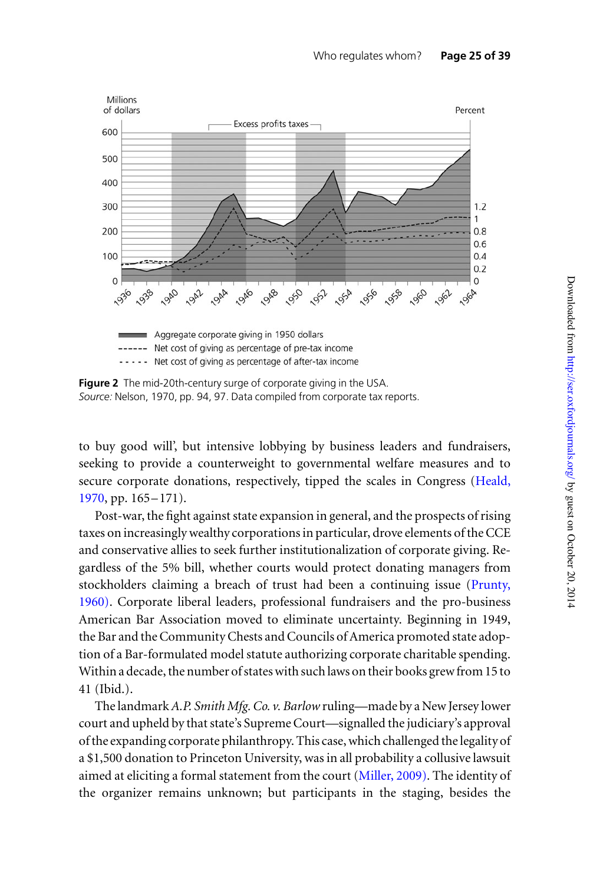<span id="page-24-0"></span>

**Figure 2** The mid-20th-century surge of corporate giving in the USA. Source: Nelson, 1970, pp. 94, 97. Data compiled from corporate tax reports.

to buy good will', but intensive lobbying by business leaders and fundraisers, seeking to provide a counterweight to governmental welfare measures and to secure corporate donations, respectively, tipped the scales in Congress ([Heald,](#page-35-0) [1970](#page-35-0), pp. 165–171).

Post-war, the fight against state expansion in general, and the prospects of rising taxes on increasingly wealthy corporations in particular, drove elements of the CCE and conservative allies to seek further institutionalization of corporate giving. Regardless of the 5% bill, whether courts would protect donating managers from stockholders claiming a breach of trust had been a continuing issue [\(Prunty,](#page-37-0) [1960\)](#page-37-0). Corporate liberal leaders, professional fundraisers and the pro-business American Bar Association moved to eliminate uncertainty. Beginning in 1949, the Bar and the Community Chests and Councils of America promoted state adoption of a Bar-formulated model statute authorizing corporate charitable spending. Within a decade, the number of states with such laws on their books grew from 15 to 41 (Ibid.).

The landmark A.P. Smith Mfg. Co. v. Barlow ruling—made by a New Jersey lower court and upheld by that state's Supreme Court—signalled the judiciary's approval of the expanding corporate philanthropy. This case, which challenged the legality of a \$1,500 donation to Princeton University, was in all probability a collusive lawsuit aimed at eliciting a formal statement from the court [\(Miller, 2009\)](#page-36-0). The identity of the organizer remains unknown; but participants in the staging, besides the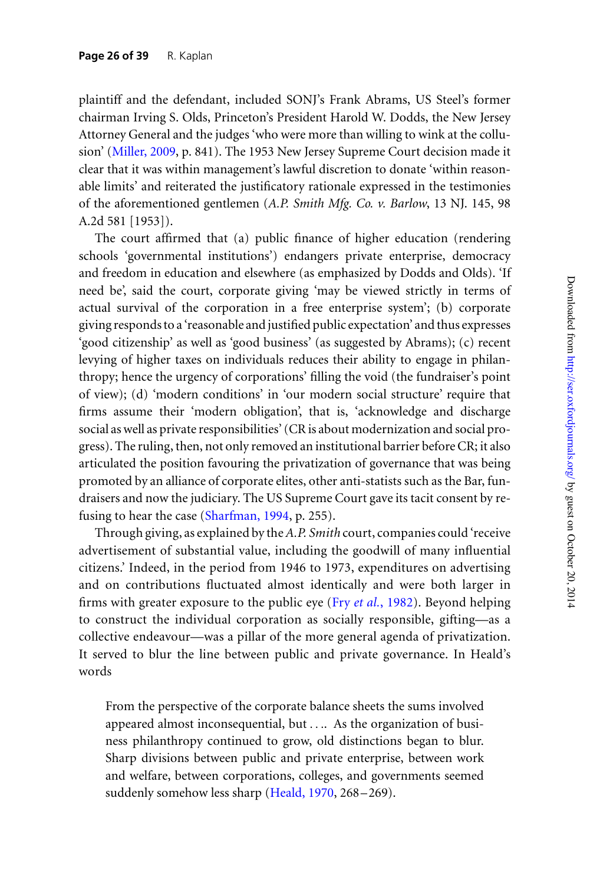plaintiff and the defendant, included SONJ's Frank Abrams, US Steel's former chairman Irving S. Olds, Princeton's President Harold W. Dodds, the New Jersey Attorney General and the judges 'who were more than willing to wink at the collu-sion' [\(Miller, 2009,](#page-36-0) p. 841). The 1953 New Jersey Supreme Court decision made it clear that it was within management's lawful discretion to donate 'within reasonable limits' and reiterated the justificatory rationale expressed in the testimonies of the aforementioned gentlemen (A.P. Smith Mfg. Co. v. Barlow, 13 NJ. 145, 98 A.2d 581 [1953]).

The court affirmed that (a) public finance of higher education (rendering schools 'governmental institutions') endangers private enterprise, democracy and freedom in education and elsewhere (as emphasized by Dodds and Olds). 'If need be', said the court, corporate giving 'may be viewed strictly in terms of actual survival of the corporation in a free enterprise system'; (b) corporate giving responds to a 'reasonable and justified public expectation' and thus expresses 'good citizenship' as well as 'good business' (as suggested by Abrams); (c) recent levying of higher taxes on individuals reduces their ability to engage in philanthropy; hence the urgency of corporations' filling the void (the fundraiser's point of view); (d) 'modern conditions' in 'our modern social structure' require that firms assume their 'modern obligation', that is, 'acknowledge and discharge social as well as private responsibilities' (CR is about modernization and social progress). The ruling, then, not only removed an institutional barrier before CR; it also articulated the position favouring the privatization of governance that was being promoted by an alliance of corporate elites, other anti-statists such as the Bar, fundraisers and now the judiciary. The US Supreme Court gave its tacit consent by re-fusing to hear the case ([Sharfman, 1994,](#page-37-0) p. 255).

Through giving, as explained by theA.P. Smith court, companies could 'receive advertisement of substantial value, including the goodwill of many influential citizens.' Indeed, in the period from 1946 to 1973, expenditures on advertising and on contributions fluctuated almost identically and were both larger in firms with greater exposure to the public eye (Fry et al.[, 1982\)](#page-34-0). Beyond helping to construct the individual corporation as socially responsible, gifting—as a collective endeavour—was a pillar of the more general agenda of privatization. It served to blur the line between public and private governance. In Heald's words

From the perspective of the corporate balance sheets the sums involved appeared almost inconsequential, but .... As the organization of business philanthropy continued to grow, old distinctions began to blur. Sharp divisions between public and private enterprise, between work and welfare, between corporations, colleges, and governments seemed suddenly somehow less sharp ([Heald, 1970](#page-35-0), 268-269).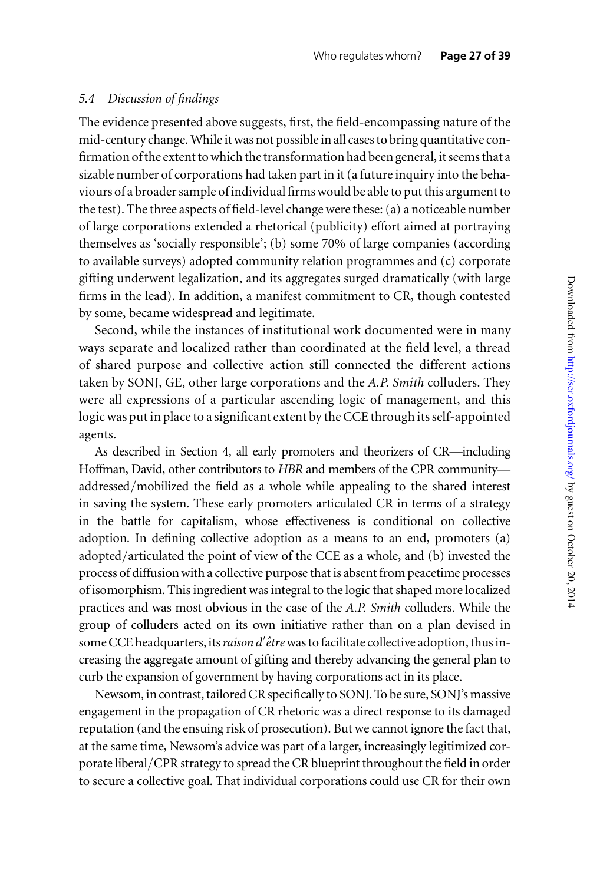### 5.4 Discussion of findings

The evidence presented above suggests, first, the field-encompassing nature of the mid-century change.While it was not possible in all cases to bring quantitative confirmation of the extent to which the transformation had been general, it seems that a sizable number of corporations had taken part in it (a future inquiry into the behaviours of a broader sample of individual firms would be able to put this argument to the test). The three aspects of field-level change were these: (a) a noticeable number of large corporations extended a rhetorical (publicity) effort aimed at portraying themselves as 'socially responsible'; (b) some 70% of large companies (according to available surveys) adopted community relation programmes and (c) corporate gifting underwent legalization, and its aggregates surged dramatically (with large firms in the lead). In addition, a manifest commitment to CR, though contested by some, became widespread and legitimate.

Second, while the instances of institutional work documented were in many ways separate and localized rather than coordinated at the field level, a thread of shared purpose and collective action still connected the different actions taken by SONJ, GE, other large corporations and the A.P. Smith colluders. They were all expressions of a particular ascending logic of management, and this logic was put in place to a significant extent by the CCE through its self-appointed agents.

As described in Section 4, all early promoters and theorizers of CR—including Hoffman, David, other contributors to HBR and members of the CPR community addressed/mobilized the field as a whole while appealing to the shared interest in saving the system. These early promoters articulated CR in terms of a strategy in the battle for capitalism, whose effectiveness is conditional on collective adoption. In defining collective adoption as a means to an end, promoters (a) adopted/articulated the point of view of the CCE as a whole, and (b) invested the process of diffusion with a collective purpose that is absent from peacetime processes of isomorphism. This ingredient was integral to the logic that shaped more localized practices and was most obvious in the case of the A.P. Smith colluders. While the group of colluders acted on its own initiative rather than on a plan devised in some CCE headquarters, its raison d'être was to facilitate collective adoption, thus increasing the aggregate amount of gifting and thereby advancing the general plan to curb the expansion of government by having corporations act in its place.

Newsom, in contrast, tailored CR specifically to SONJ. To be sure, SONJ's massive engagement in the propagation of CR rhetoric was a direct response to its damaged reputation (and the ensuing risk of prosecution). But we cannot ignore the fact that, at the same time, Newsom's advice was part of a larger, increasingly legitimized corporate liberal/CPR strategy to spread the CR blueprint throughout the field in order to secure a collective goal. That individual corporations could use CR for their own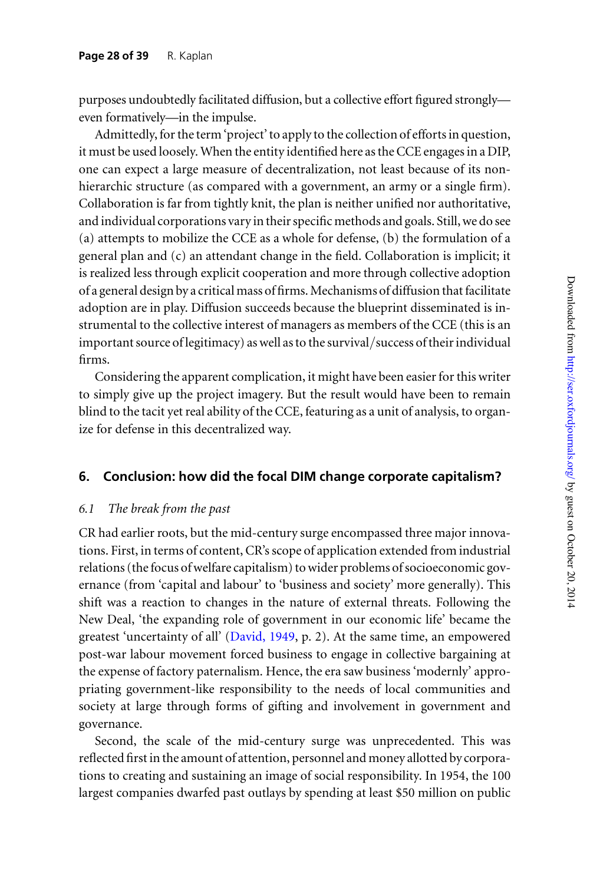purposes undoubtedly facilitated diffusion, but a collective effort figured strongly even formatively—in the impulse.

Admittedly, for the term 'project' to apply to the collection of efforts in question, it must be used loosely.When the entity identified here as the CCE engages in a DIP, one can expect a large measure of decentralization, not least because of its nonhierarchic structure (as compared with a government, an army or a single firm). Collaboration is far from tightly knit, the plan is neither unified nor authoritative, and individual corporations vary in their specific methods and goals. Still, we do see (a) attempts to mobilize the CCE as a whole for defense, (b) the formulation of a general plan and (c) an attendant change in the field. Collaboration is implicit; it is realized less through explicit cooperation and more through collective adoption of a general design by a critical mass of firms. Mechanisms of diffusion that facilitate adoption are in play. Diffusion succeeds because the blueprint disseminated is instrumental to the collective interest of managers as members of the CCE (this is an important source of legitimacy) as well as to the survival/success of their individual firms.

Considering the apparent complication, it might have been easier for this writer to simply give up the project imagery. But the result would have been to remain blind to the tacit yet real ability of the CCE, featuring as a unit of analysis, to organize for defense in this decentralized way.

# 6. Conclusion: how did the focal DIM change corporate capitalism?

# 6.1 The break from the past

CR had earlier roots, but the mid-century surge encompassed three major innovations. First, in terms of content, CR's scope of application extended from industrial relations (the focus of welfare capitalism) to wider problems of socioeconomic governance (from 'capital and labour' to 'business and society' more generally). This shift was a reaction to changes in the nature of external threats. Following the New Deal, 'the expanding role of government in our economic life' became the greatest 'uncertainty of all' ([David, 1949](#page-34-0), p. 2). At the same time, an empowered post-war labour movement forced business to engage in collective bargaining at the expense of factory paternalism. Hence, the era saw business 'modernly' appropriating government-like responsibility to the needs of local communities and society at large through forms of gifting and involvement in government and governance.

Second, the scale of the mid-century surge was unprecedented. This was reflected first in the amount of attention, personnel and money allotted by corporations to creating and sustaining an image of social responsibility. In 1954, the 100 largest companies dwarfed past outlays by spending at least \$50 million on public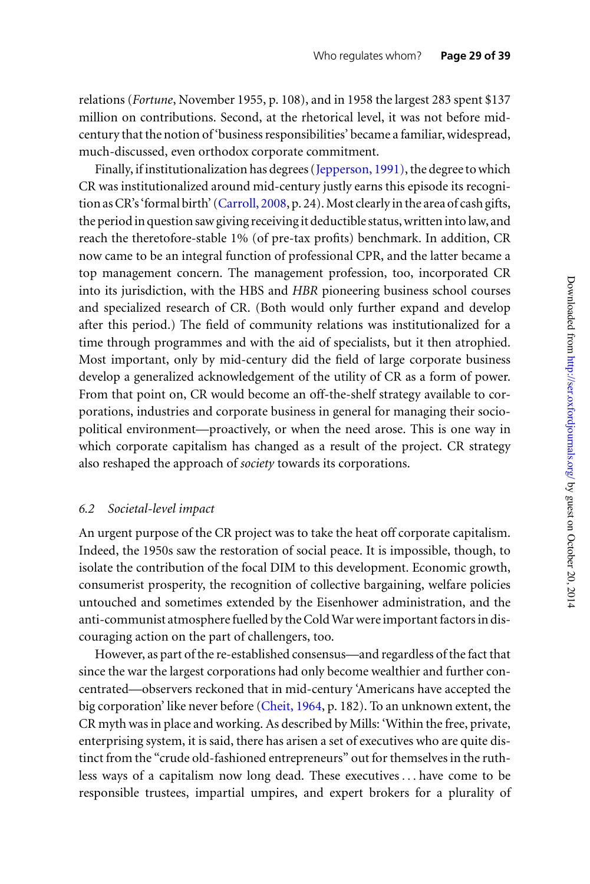relations (Fortune, November 1955, p. 108), and in 1958 the largest 283 spent \$137 million on contributions. Second, at the rhetorical level, it was not before midcentury that the notion of 'business responsibilities' became a familiar, widespread, much-discussed, even orthodox corporate commitment.

Finally, if institutionalization has degrees ([Jepperson, 1991\),](#page-35-0) the degree to which CR was institutionalized around mid-century justly earns this episode its recogni-tion as CR's 'formal birth' ([Carroll, 2008,](#page-33-0) p. 24). Most clearly in the area of cash gifts, the period in question saw giving receiving it deductible status, written into law, and reach the theretofore-stable 1% (of pre-tax profits) benchmark. In addition, CR now came to be an integral function of professional CPR, and the latter became a top management concern. The management profession, too, incorporated CR into its jurisdiction, with the HBS and HBR pioneering business school courses and specialized research of CR. (Both would only further expand and develop after this period.) The field of community relations was institutionalized for a time through programmes and with the aid of specialists, but it then atrophied. Most important, only by mid-century did the field of large corporate business develop a generalized acknowledgement of the utility of CR as a form of power. From that point on, CR would become an off-the-shelf strategy available to corporations, industries and corporate business in general for managing their sociopolitical environment—proactively, or when the need arose. This is one way in which corporate capitalism has changed as a result of the project. CR strategy also reshaped the approach of society towards its corporations.

### 6.2 Societal-level impact

An urgent purpose of the CR project was to take the heat off corporate capitalism. Indeed, the 1950s saw the restoration of social peace. It is impossible, though, to isolate the contribution of the focal DIM to this development. Economic growth, consumerist prosperity, the recognition of collective bargaining, welfare policies untouched and sometimes extended by the Eisenhower administration, and the anti-communist atmosphere fuelled by the Cold War were important factors in discouraging action on the part of challengers, too.

However, as part of the re-established consensus—and regardless of the fact that since the war the largest corporations had only become wealthier and further concentrated—observers reckoned that in mid-century 'Americans have accepted the big corporation' like never before [\(Cheit, 1964](#page-33-0), p. 182). To an unknown extent, the CR myth was in place and working. As described by Mills: 'Within the free, private, enterprising system, it is said, there has arisen a set of executives who are quite distinct from the "crude old-fashioned entrepreneurs" out for themselves in the ruthless ways of a capitalism now long dead. These executives ... have come to be responsible trustees, impartial umpires, and expert brokers for a plurality of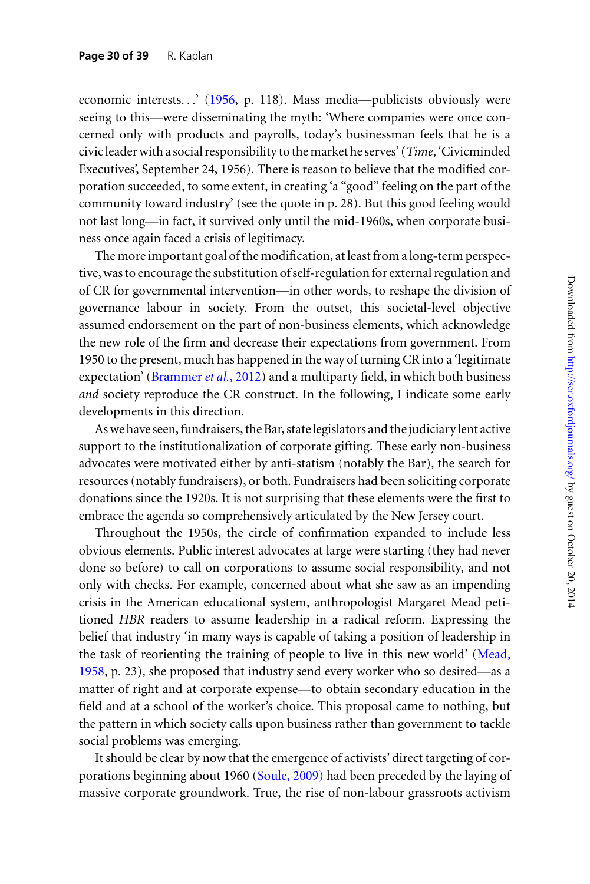economic interests...' [\(1956](#page-36-0), p. 118). Mass media—publicists obviously were seeing to this—were disseminating the myth: 'Where companies were once concerned only with products and payrolls, today's businessman feels that he is a civic leader with a social responsibility to themarket he serves' (Time, 'Civicminded Executives', September 24, 1956). There is reason to believe that the modified corporation succeeded, to some extent, in creating 'a "good" feeling on the part of the community toward industry' (see the quote in p. 28). But this good feeling would not last long—in fact, it survived only until the mid-1960s, when corporate business once again faced a crisis of legitimacy.

The more important goal of the modification, at least from a long-term perspective, was to encourage the substitution of self-regulation for external regulation and of CR for governmental intervention—in other words, to reshape the division of governance labour in society. From the outset, this societal-level objective assumed endorsement on the part of non-business elements, which acknowledge the new role of the firm and decrease their expectations from government. From 1950 to the present, much has happened in the way of turning CR into a 'legitimate expectation' [\(Brammer](#page-33-0) et al., 2012) and a multiparty field, in which both business and society reproduce the CR construct. In the following, I indicate some early developments in this direction.

As we have seen, fundraisers, the Bar, state legislators and the judiciary lent active support to the institutionalization of corporate gifting. These early non-business advocates were motivated either by anti-statism (notably the Bar), the search for resources (notably fundraisers), or both. Fundraisers had been soliciting corporate donations since the 1920s. It is not surprising that these elements were the first to embrace the agenda so comprehensively articulated by the New Jersey court.

Throughout the 1950s, the circle of confirmation expanded to include less obvious elements. Public interest advocates at large were starting (they had never done so before) to call on corporations to assume social responsibility, and not only with checks. For example, concerned about what she saw as an impending crisis in the American educational system, anthropologist Margaret Mead petitioned HBR readers to assume leadership in a radical reform. Expressing the belief that industry 'in many ways is capable of taking a position of leadership in the task of reorienting the training of people to live in this new world' [\(Mead,](#page-36-0) [1958](#page-36-0), p. 23), she proposed that industry send every worker who so desired—as a matter of right and at corporate expense—to obtain secondary education in the field and at a school of the worker's choice. This proposal came to nothing, but the pattern in which society calls upon business rather than government to tackle social problems was emerging.

It should be clear by now that the emergence of activists' direct targeting of cor-porations beginning about 1960 [\(Soule, 2009\)](#page-38-0) had been preceded by the laying of massive corporate groundwork. True, the rise of non-labour grassroots activism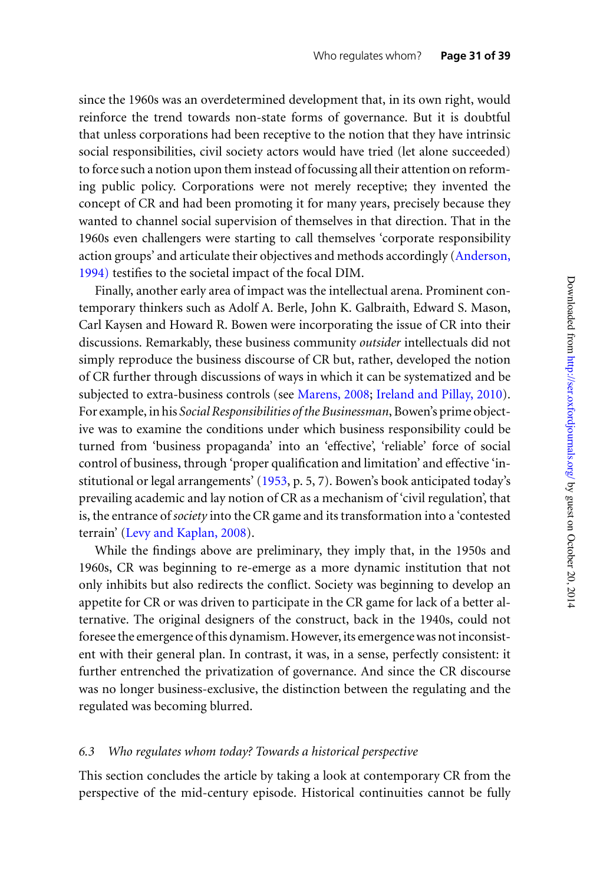since the 1960s was an overdetermined development that, in its own right, would reinforce the trend towards non-state forms of governance. But it is doubtful that unless corporations had been receptive to the notion that they have intrinsic social responsibilities, civil society actors would have tried (let alone succeeded) to force such a notion upon them instead of focussing all their attention on reforming public policy. Corporations were not merely receptive; they invented the concept of CR and had been promoting it for many years, precisely because they wanted to channel social supervision of themselves in that direction. That in the 1960s even challengers were starting to call themselves 'corporate responsibility action groups' and articulate their objectives and methods accordingly ([Anderson,](#page-33-0) [1994\)](#page-33-0) testifies to the societal impact of the focal DIM.

Finally, another early area of impact was the intellectual arena. Prominent contemporary thinkers such as Adolf A. Berle, John K. Galbraith, Edward S. Mason, Carl Kaysen and Howard R. Bowen were incorporating the issue of CR into their discussions. Remarkably, these business community outsider intellectuals did not simply reproduce the business discourse of CR but, rather, developed the notion of CR further through discussions of ways in which it can be systematized and be subjected to extra-business controls (see [Marens, 2008](#page-36-0); [Ireland and Pillay, 2010\)](#page-35-0). For example, in his Social Responsibilities of the Businessman, Bowen's prime objective was to examine the conditions under which business responsibility could be turned from 'business propaganda' into an 'effective', 'reliable' force of social control of business, through 'proper qualification and limitation' and effective 'in-stitutional or legal arrangements' [\(1953](#page-33-0), p. 5, 7). Bowen's book anticipated today's prevailing academic and lay notion of CR as a mechanism of 'civil regulation', that is, the entrance of society into the CR game and its transformation into a 'contested terrain' [\(Levy and Kaplan, 2008\)](#page-35-0).

While the findings above are preliminary, they imply that, in the 1950s and 1960s, CR was beginning to re-emerge as a more dynamic institution that not only inhibits but also redirects the conflict. Society was beginning to develop an appetite for CR or was driven to participate in the CR game for lack of a better alternative. The original designers of the construct, back in the 1940s, could not foresee the emergence of this dynamism. However, its emergence was not inconsistent with their general plan. In contrast, it was, in a sense, perfectly consistent: it further entrenched the privatization of governance. And since the CR discourse was no longer business-exclusive, the distinction between the regulating and the regulated was becoming blurred.

#### 6.3 Who regulates whom today? Towards a historical perspective

This section concludes the article by taking a look at contemporary CR from the perspective of the mid-century episode. Historical continuities cannot be fully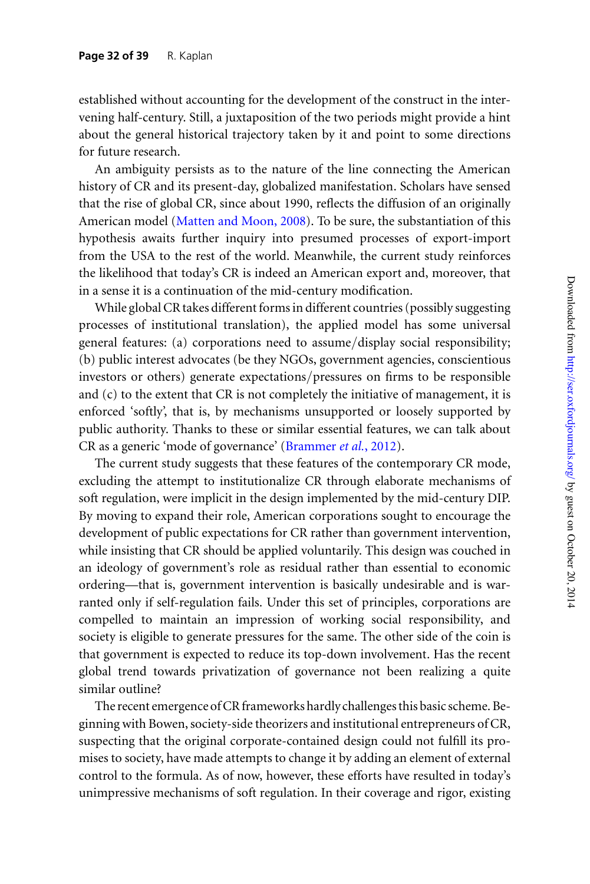established without accounting for the development of the construct in the intervening half-century. Still, a juxtaposition of the two periods might provide a hint about the general historical trajectory taken by it and point to some directions for future research.

An ambiguity persists as to the nature of the line connecting the American history of CR and its present-day, globalized manifestation. Scholars have sensed that the rise of global CR, since about 1990, reflects the diffusion of an originally American model [\(Matten and Moon, 2008](#page-36-0)). To be sure, the substantiation of this hypothesis awaits further inquiry into presumed processes of export-import from the USA to the rest of the world. Meanwhile, the current study reinforces the likelihood that today's CR is indeed an American export and, moreover, that in a sense it is a continuation of the mid-century modification.

While global CR takes different forms in different countries (possibly suggesting processes of institutional translation), the applied model has some universal general features: (a) corporations need to assume/display social responsibility; (b) public interest advocates (be they NGOs, government agencies, conscientious investors or others) generate expectations/pressures on firms to be responsible and (c) to the extent that CR is not completely the initiative of management, it is enforced 'softly', that is, by mechanisms unsupported or loosely supported by public authority. Thanks to these or similar essential features, we can talk about CR as a generic 'mode of governance' [\(Brammer](#page-33-0) et al., 2012).

The current study suggests that these features of the contemporary CR mode, excluding the attempt to institutionalize CR through elaborate mechanisms of soft regulation, were implicit in the design implemented by the mid-century DIP. By moving to expand their role, American corporations sought to encourage the development of public expectations for CR rather than government intervention, while insisting that CR should be applied voluntarily. This design was couched in an ideology of government's role as residual rather than essential to economic ordering—that is, government intervention is basically undesirable and is warranted only if self-regulation fails. Under this set of principles, corporations are compelled to maintain an impression of working social responsibility, and society is eligible to generate pressures for the same. The other side of the coin is that government is expected to reduce its top-down involvement. Has the recent global trend towards privatization of governance not been realizing a quite similar outline?

The recent emergence of CR frameworks hardly challenges this basic scheme. Beginning with Bowen, society-side theorizers and institutional entrepreneurs of CR, suspecting that the original corporate-contained design could not fulfill its promises to society, have made attempts to change it by adding an element of external control to the formula. As of now, however, these efforts have resulted in today's unimpressive mechanisms of soft regulation. In their coverage and rigor, existing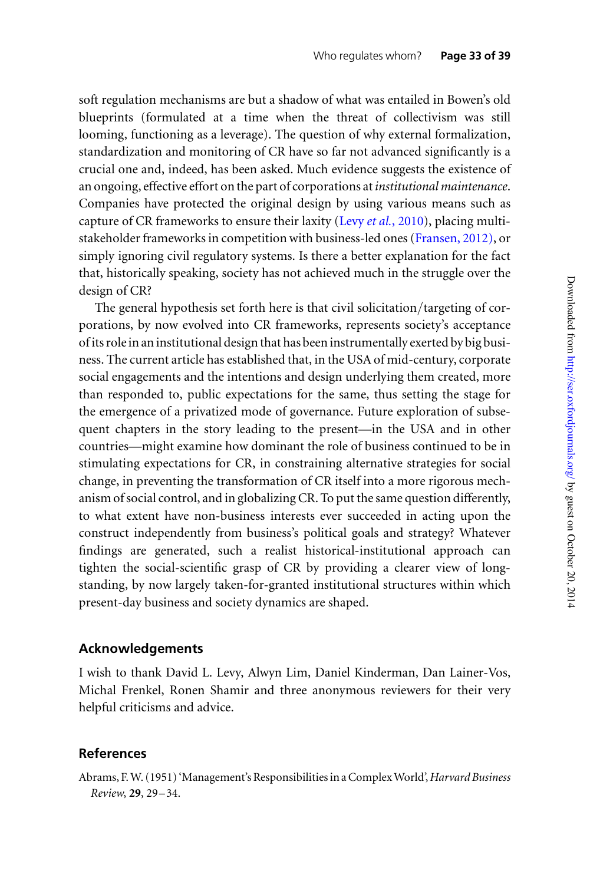<span id="page-32-0"></span>soft regulation mechanisms are but a shadow of what was entailed in Bowen's old blueprints (formulated at a time when the threat of collectivism was still looming, functioning as a leverage). The question of why external formalization, standardization and monitoring of CR have so far not advanced significantly is a crucial one and, indeed, has been asked. Much evidence suggests the existence of an ongoing, effective effort on the part of corporations at *institutional maintenance*. Companies have protected the original design by using various means such as capture of CR frameworks to ensure their laxity (Levy *et al.*[, 2010\)](#page-35-0), placing multistakeholder frameworks in competition with business-led ones [\(Fransen, 2012\)](#page-34-0), or simply ignoring civil regulatory systems. Is there a better explanation for the fact that, historically speaking, society has not achieved much in the struggle over the design of CR?

The general hypothesis set forth here is that civil solicitation/targeting of corporations, by now evolved into CR frameworks, represents society's acceptance of its rolein an institutional design that has been instrumentally exerted by big business. The current article has established that, in the USA of mid-century, corporate social engagements and the intentions and design underlying them created, more than responded to, public expectations for the same, thus setting the stage for the emergence of a privatized mode of governance. Future exploration of subsequent chapters in the story leading to the present—in the USA and in other countries—might examine how dominant the role of business continued to be in stimulating expectations for CR, in constraining alternative strategies for social change, in preventing the transformation of CR itself into a more rigorous mechanism of social control, and in globalizing CR. To put the same question differently, to what extent have non-business interests ever succeeded in acting upon the construct independently from business's political goals and strategy? Whatever findings are generated, such a realist historical-institutional approach can tighten the social-scientific grasp of CR by providing a clearer view of longstanding, by now largely taken-for-granted institutional structures within which present-day business and society dynamics are shaped.

# Acknowledgements

I wish to thank David L. Levy, Alwyn Lim, Daniel Kinderman, Dan Lainer-Vos, Michal Frenkel, Ronen Shamir and three anonymous reviewers for their very helpful criticisms and advice.

# References

Abrams, F.W. (1951) 'Management's Responsibilities in a Complex World', *Harvard Business* Review, 29, 29-34.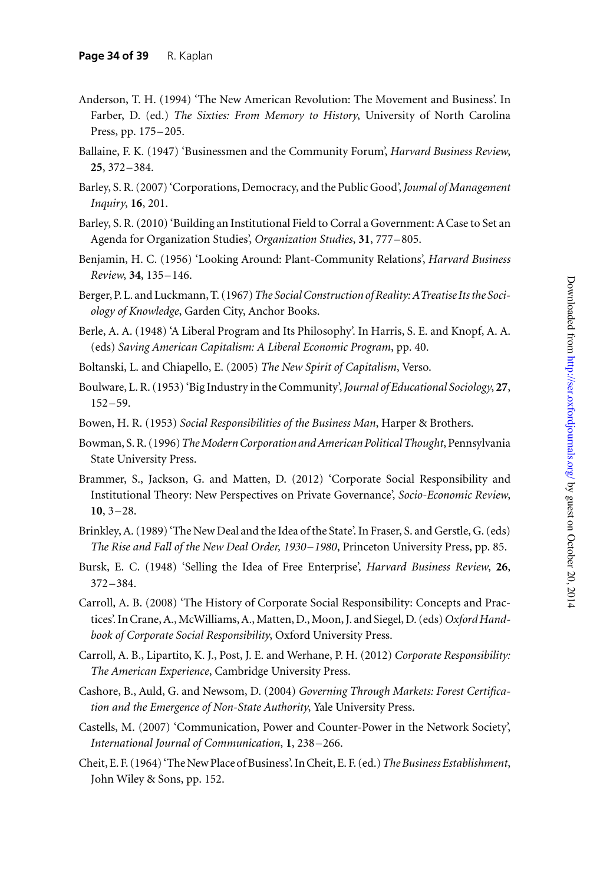- <span id="page-33-0"></span>Anderson, T. H. (1994) 'The New American Revolution: The Movement and Business'. In Farber, D. (ed.) The Sixties: From Memory to History, University of North Carolina Press, pp. 175-205.
- Ballaine, F. K. (1947) 'Businessmen and the Community Forum', Harvard Business Review, 25, 372 –384.
- Barley, S. R. (2007) 'Corporations, Democracy, and the Public Good', Joumal of Management Inquiry, 16, 201.
- Barley, S. R. (2010) 'Building an Institutional Field to Corral a Government: A Case to Set an Agenda for Organization Studies', Organization Studies, 31, 777 –805.
- Benjamin, H. C. (1956) 'Looking Around: Plant-Community Relations', Harvard Business Review, 34, 135 –146.
- Berger, P. L. and Luckmann, T. (1967) The Social Construction of Reality: A Treatise Its the Sociology of Knowledge, Garden City, Anchor Books.
- Berle, A. A. (1948) 'A Liberal Program and Its Philosophy'. In Harris, S. E. and Knopf, A. A. (eds) Saving American Capitalism: A Liberal Economic Program, pp. 40.
- Boltanski, L. and Chiapello, E. (2005) The New Spirit of Capitalism, Verso.
- Boulware, L. R. (1953) 'Big Industry in the Community', Journal of Educational Sociology, 27,  $152 - 59.$
- Bowen, H. R. (1953) Social Responsibilities of the Business Man, Harper & Brothers.
- Bowman, S. R. (1996) The Modern Corporation and American Political Thought, Pennsylvania State University Press.
- Brammer, S., Jackson, G. and Matten, D. (2012) 'Corporate Social Responsibility and Institutional Theory: New Perspectives on Private Governance', Socio-Economic Review,  $10, 3 - 28.$
- Brinkley, A. (1989) 'The New Deal and the Idea of the State'. In Fraser, S. and Gerstle, G. (eds) The Rise and Fall of the New Deal Order, 1930–1980, Princeton University Press, pp. 85.
- Bursk, E. C. (1948) 'Selling the Idea of Free Enterprise', Harvard Business Review, 26, 372 –384.
- Carroll, A. B. (2008) 'The History of Corporate Social Responsibility: Concepts and Practices'. In Crane, A., McWilliams, A., Matten, D., Moon, J. and Siegel, D. (eds) Oxford Handbook of Corporate Social Responsibility, Oxford University Press.
- Carroll, A. B., Lipartito, K. J., Post, J. E. and Werhane, P. H. (2012) Corporate Responsibility: The American Experience, Cambridge University Press.
- Cashore, B., Auld, G. and Newsom, D. (2004) Governing Through Markets: Forest Certification and the Emergence of Non-State Authority, Yale University Press.
- Castells, M. (2007) 'Communication, Power and Counter-Power in the Network Society', International Journal of Communication, 1, 238 –266.
- Cheit, E. F. (1964) 'The New Place of Business'. In Cheit, E. F. (ed.)The Business Establishment, John Wiley & Sons, pp. 152.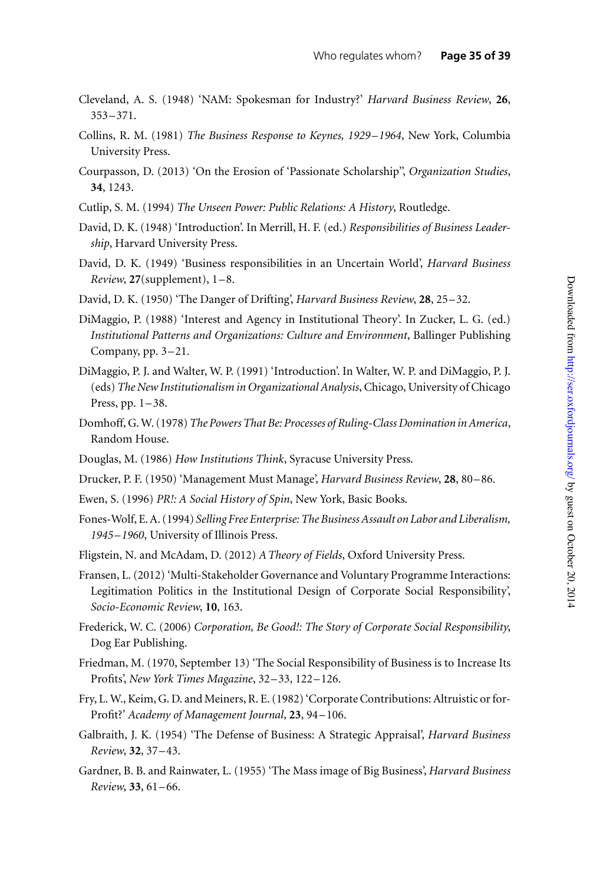- <span id="page-34-0"></span>Cleveland, A. S. (1948) 'NAM: Spokesman for Industry?' Harvard Business Review, 26,  $353 - 371$ .
- Collins, R. M. (1981) The Business Response to Keynes, 1929 –1964, New York, Columbia University Press.
- Courpasson, D. (2013) 'On the Erosion of 'Passionate Scholarship'', Organization Studies, 34, 1243.
- Cutlip, S. M. (1994) The Unseen Power: Public Relations: A History, Routledge.
- David, D. K. (1948) 'Introduction'. In Merrill, H. F. (ed.) Responsibilities of Business Leadership, Harvard University Press.
- David, D. K. (1949) 'Business responsibilities in an Uncertain World', Harvard Business  $Review, 27(supplement), 1-8.$
- David, D. K. (1950) 'The Danger of Drifting', Harvard Business Review, 28, 25–32.
- DiMaggio, P. (1988) 'Interest and Agency in Institutional Theory'. In Zucker, L. G. (ed.) Institutional Patterns and Organizations: Culture and Environment, Ballinger Publishing Company, pp.  $3-21$ .
- DiMaggio, P. J. and Walter, W. P. (1991) 'Introduction'. In Walter, W. P. and DiMaggio, P. J. (eds) The New Institutionalism in Organizational Analysis, Chicago, University of Chicago Press, pp.  $1-38$ .
- Domhoff, G.W. (1978) The Powers That Be: Processes of Ruling-Class Domination in America, Random House.
- Douglas, M. (1986) How Institutions Think, Syracuse University Press.
- Drucker, P. F. (1950) 'Management Must Manage', Harvard Business Review, 28, 80-86.
- Ewen, S. (1996) PR!: A Social History of Spin, New York, Basic Books.
- Fones-Wolf, E. A. (1994) Selling Free Enterprise: The Business Assault on Labor and Liberalism, 1945–1960, University of Illinois Press.
- Fligstein, N. and McAdam, D. (2012) A Theory of Fields, Oxford University Press.
- Fransen, L. (2012) 'Multi-Stakeholder Governance and Voluntary Programme Interactions: Legitimation Politics in the Institutional Design of Corporate Social Responsibility', Socio-Economic Review, 10, 163.
- Frederick, W. C. (2006) Corporation, Be Good!: The Story of Corporate Social Responsibility, Dog Ear Publishing.
- Friedman, M. (1970, September 13) 'The Social Responsibility of Business is to Increase Its Profits', New York Times Magazine, 32-33, 122-126.
- Fry, L. W., Keim, G. D. and Meiners, R. E. (1982) 'Corporate Contributions: Altruistic or for-Profit?' Academy of Management Journal, 23, 94-106.
- Galbraith, J. K. (1954) 'The Defense of Business: A Strategic Appraisal', Harvard Business Review, 32, 37 –43.
- Gardner, B. B. and Rainwater, L. (1955) 'The Mass image of Big Business', Harvard Business Review, 33, 61 –66.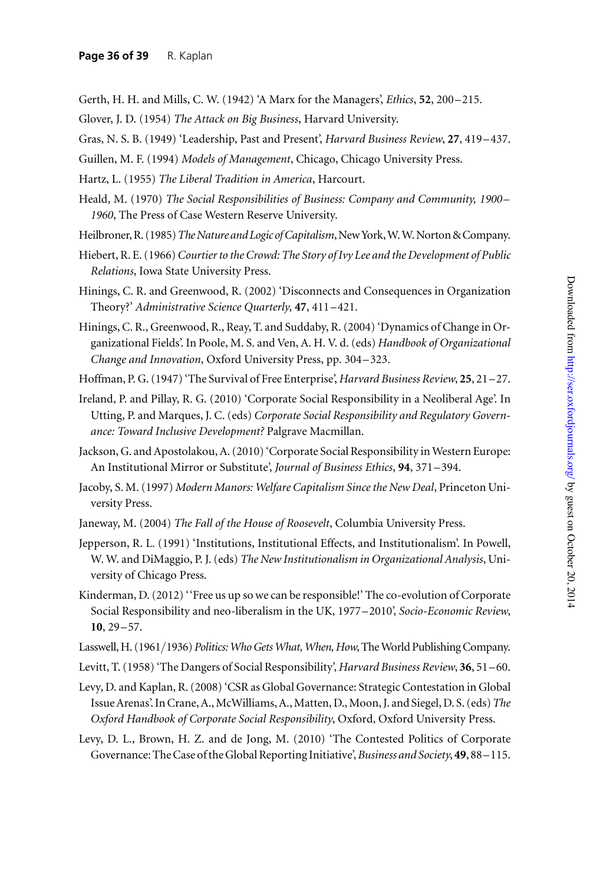- <span id="page-35-0"></span>Gerth, H. H. and Mills, C. W. (1942) 'A Marx for the Managers', Ethics, 52, 200 –215.
- Glover, J. D. (1954) The Attack on Big Business, Harvard University.
- Gras, N. S. B. (1949) 'Leadership, Past and Present', Harvard Business Review, 27, 419 –437.
- Guillen, M. F. (1994) Models of Management, Chicago, Chicago University Press.
- Hartz, L. (1955) The Liberal Tradition in America, Harcourt.
- Heald, M. (1970) The Social Responsibilities of Business: Company and Community, 1900– 1960, The Press of Case Western Reserve University.
- Heilbroner, R. (1985) The Nature and Logic of Capitalism, New York, W. W. Norton & Company.
- Hiebert, R. E. (1966) Courtier to the Crowd: The Story of Ivy Lee and the Development of Public Relations, Iowa State University Press.
- Hinings, C. R. and Greenwood, R. (2002) 'Disconnects and Consequences in Organization Theory?' Administrative Science Quarterly, 47, 411 –421.
- Hinings, C. R., Greenwood, R., Reay, T. and Suddaby, R. (2004) 'Dynamics of Change in Organizational Fields'. In Poole, M. S. and Ven, A. H. V. d. (eds) Handbook of Organizational Change and Innovation, Oxford University Press, pp. 304–323.
- Hoffman, P. G. (1947) 'The Survival of Free Enterprise', *Harvard Business Review*, 25, 21–27.
- Ireland, P. and Pillay, R. G. (2010) 'Corporate Social Responsibility in a Neoliberal Age'. In Utting, P. and Marques, J. C. (eds) Corporate Social Responsibility and Regulatory Governance: Toward Inclusive Development? Palgrave Macmillan.
- Jackson, G. and Apostolakou, A. (2010) 'Corporate Social Responsibility in Western Europe: An Institutional Mirror or Substitute', Journal of Business Ethics, 94, 371-394.
- Jacoby, S. M. (1997) Modern Manors: Welfare Capitalism Since the New Deal, Princeton University Press.
- Janeway, M. (2004) The Fall of the House of Roosevelt, Columbia University Press.
- Jepperson, R. L. (1991) 'Institutions, Institutional Effects, and Institutionalism'. In Powell, W. W. and DiMaggio, P. J. (eds) The New Institutionalism in Organizational Analysis, University of Chicago Press.
- Kinderman, D. (2012) ''Free us up so we can be responsible!' The co-evolution of Corporate Social Responsibility and neo-liberalism in the UK, 1977–2010', Socio-Economic Review,  $10, 29 - 57.$
- Lasswell, H. (1961/1936) Politics: Who Gets What, When, How, The World Publishing Company.
- Levitt, T. (1958) 'The Dangers of Social Responsibility', Harvard Business Review, 36, 51–60.
- Levy, D. and Kaplan, R. (2008) 'CSR as Global Governance: Strategic Contestation in Global Issue Arenas'. In Crane, A., McWilliams, A., Matten, D., Moon, J. and Siegel, D. S. (eds) The Oxford Handbook of Corporate Social Responsibility, Oxford, Oxford University Press.
- Levy, D. L., Brown, H. Z. and de Jong, M. (2010) 'The Contested Politics of Corporate Governance: The Case of the Global Reporting Initiative', Business and Society, 49, 88–115.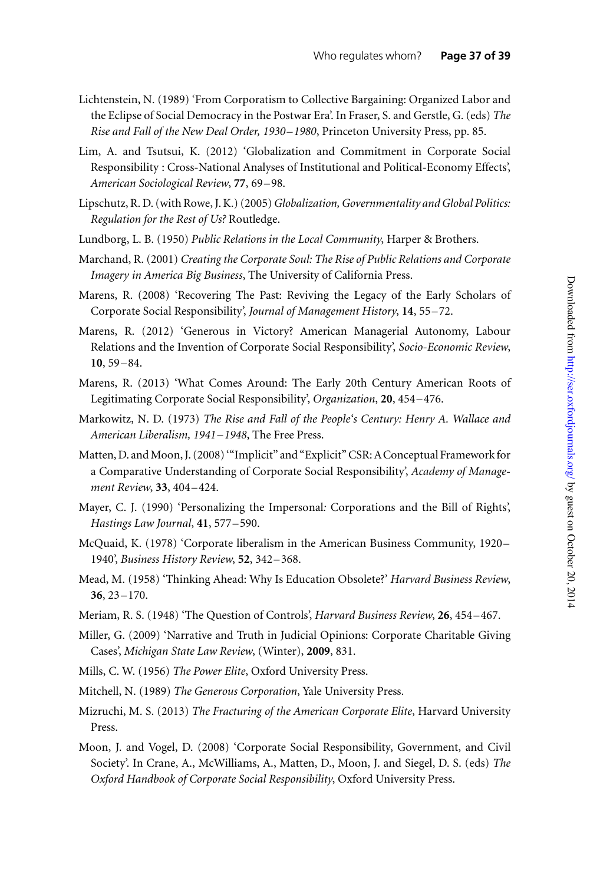- <span id="page-36-0"></span>Lichtenstein, N. (1989) 'From Corporatism to Collective Bargaining: Organized Labor and the Eclipse of Social Democracy in the Postwar Era'. In Fraser, S. and Gerstle, G. (eds) The Rise and Fall of the New Deal Order, 1930–1980, Princeton University Press, pp. 85.
- Lim, A. and Tsutsui, K. (2012) 'Globalization and Commitment in Corporate Social Responsibility : Cross-National Analyses of Institutional and Political-Economy Effects', American Sociological Review, 77, 69 –98.
- Lipschutz, R. D. (with Rowe, J. K.) (2005) Globalization, Governmentality and Global Politics: Regulation for the Rest of Us? Routledge.
- Lundborg, L. B. (1950) Public Relations in the Local Community, Harper & Brothers.
- Marchand, R. (2001) Creating the Corporate Soul: The Rise of Public Relations and Corporate Imagery in America Big Business, The University of California Press.
- Marens, R. (2008) 'Recovering The Past: Reviving the Legacy of the Early Scholars of Corporate Social Responsibility', Journal of Management History, 14, 55 –72.
- Marens, R. (2012) 'Generous in Victory? American Managerial Autonomy, Labour Relations and the Invention of Corporate Social Responsibility', Socio-Economic Review,  $10, 59 - 84.$
- Marens, R. (2013) 'What Comes Around: The Early 20th Century American Roots of Legitimating Corporate Social Responsibility', Organization, 20, 454 –476.
- Markowitz, N. D. (1973) The Rise and Fall of the People's Century: Henry A. Wallace and American Liberalism, 1941–1948, The Free Press.
- Matten, D. and Moon, J. (2008) "'Implicit" and "Explicit" CSR: A Conceptual Framework for a Comparative Understanding of Corporate Social Responsibility', Academy of Management Review, 33, 404 –424.
- Mayer, C. J. (1990) 'Personalizing the Impersonal: Corporations and the Bill of Rights', Hastings Law Journal, 41, 577-590.
- McQuaid, K. (1978) 'Corporate liberalism in the American Business Community, 1920– 1940', Business History Review, 52, 342–368.
- Mead, M. (1958) 'Thinking Ahead: Why Is Education Obsolete?' Harvard Business Review,  $36, 23 - 170.$
- Meriam, R. S. (1948) 'The Question of Controls', Harvard Business Review, 26, 454–467.
- Miller, G. (2009) 'Narrative and Truth in Judicial Opinions: Corporate Charitable Giving Cases', Michigan State Law Review, (Winter), 2009, 831.
- Mills, C. W. (1956) The Power Elite, Oxford University Press.
- Mitchell, N. (1989) The Generous Corporation, Yale University Press.
- Mizruchi, M. S. (2013) The Fracturing of the American Corporate Elite, Harvard University Press.
- Moon, J. and Vogel, D. (2008) 'Corporate Social Responsibility, Government, and Civil Society'. In Crane, A., McWilliams, A., Matten, D., Moon, J. and Siegel, D. S. (eds) The Oxford Handbook of Corporate Social Responsibility, Oxford University Press.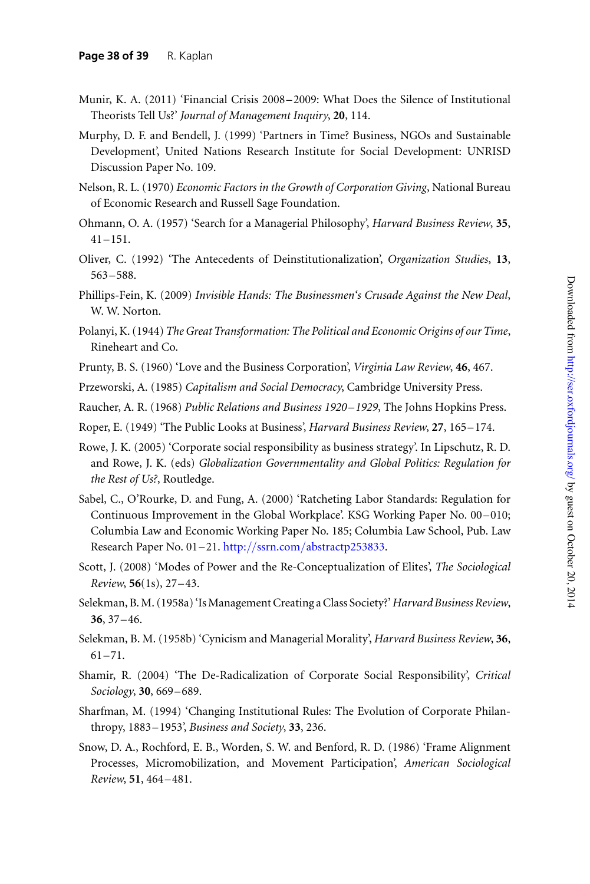- <span id="page-37-0"></span>Munir, K. A. (2011) 'Financial Crisis 2008–2009: What Does the Silence of Institutional Theorists Tell Us?' Journal of Management Inquiry, 20, 114.
- Murphy, D. F. and Bendell, J. (1999) 'Partners in Time? Business, NGOs and Sustainable Development', United Nations Research Institute for Social Development: UNRISD Discussion Paper No. 109.
- Nelson, R. L. (1970) Economic Factors in the Growth of Corporation Giving, National Bureau of Economic Research and Russell Sage Foundation.
- Ohmann, O. A. (1957) 'Search for a Managerial Philosophy', Harvard Business Review, 35,  $41 - 151$ .
- Oliver, C. (1992) 'The Antecedents of Deinstitutionalization', Organization Studies, 13, 563 –588.
- Phillips-Fein, K. (2009) Invisible Hands: The Businessmen's Crusade Against the New Deal, W. W. Norton.
- Polanyi, K. (1944) The Great Transformation: The Political and Economic Origins of our Time, Rineheart and Co.
- Prunty, B. S. (1960) 'Love and the Business Corporation', Virginia Law Review, 46, 467.
- Przeworski, A. (1985) Capitalism and Social Democracy, Cambridge University Press.
- Raucher, A. R. (1968) Public Relations and Business 1920–1929, The Johns Hopkins Press.
- Roper, E. (1949) 'The Public Looks at Business', Harvard Business Review, 27, 165-174.
- Rowe, J. K. (2005) 'Corporate social responsibility as business strategy'. In Lipschutz, R. D. and Rowe, J. K. (eds) Globalization Governmentality and Global Politics: Regulation for the Rest of Us?, Routledge.
- Sabel, C., O'Rourke, D. and Fung, A. (2000) 'Ratcheting Labor Standards: Regulation for Continuous Improvement in the Global Workplace'. KSG Working Paper No. 00-010; Columbia Law and Economic Working Paper No. 185; Columbia Law School, Pub. Law Research Paper No. 01 –21. [http:](http://ssrn.com/abstractp253833)//ssrn.com/[abstractp253833.](http://ssrn.com/abstractp253833)
- Scott, J. (2008) 'Modes of Power and the Re-Conceptualization of Elites', The Sociological Review, 56(1s), 27–43.
- Selekman, B. M. (1958a) 'Is Management Creating a Class Society?' Harvard Business Review,  $36, 37 - 46.$
- Selekman, B. M. (1958b) 'Cynicism and Managerial Morality', Harvard Business Review, 36,  $61 - 71.$
- Shamir, R. (2004) 'The De-Radicalization of Corporate Social Responsibility', Critical Sociology, **30**, 669–689.
- Sharfman, M. (1994) 'Changing Institutional Rules: The Evolution of Corporate Philanthropy, 1883–1953', Business and Society, 33, 236.
- Snow, D. A., Rochford, E. B., Worden, S. W. and Benford, R. D. (1986) 'Frame Alignment Processes, Micromobilization, and Movement Participation', American Sociological Review, 51, 464 –481.